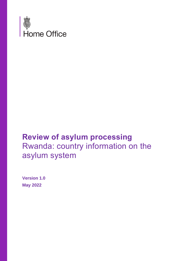

# **Review of asylum processing** Rwanda: country information on the asylum system

**Version 1.0 May 2022**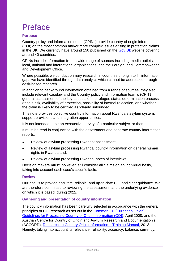# <span id="page-1-0"></span>Preface

## **Purpose**

Country policy and information notes (CPINs) provide country of origin information (COI) on the most common and/or more complex issues arising in protection claims in the UK. We currently have around 150 published on the Gov. Uk website covering around 40 countries.

CPINs include information from a wide range of sources including media outlets; local, national and international organisations; and the Foreign, and Commonwealth and Development Office.

Where possible, we conduct primary research in countries of origin to fill information gaps we have identified through data analysis which cannot be addressed through desk-based research.

In addition to background information obtained from a range of sources, they also include relevant caselaw and the Country policy and information team's (CPIT) general assessment of the key aspects of the refugee status determination process (that is risk, availability of protection, possibility of internal relocation, and whether the claim is likely to be certified as 'clearly unfounded').

This note provides objective country information about Rwanda's asylum system, support provisions and integration opportunities.

It is not intended to be an exhaustive survey of a particular subject or theme.

It must be read in conjunction with the assessment and separate country information reports:

- Review of asylum processing Rwanda: assessment
- Review of asylum processing Rwanda: country information on general human rights in Rwanda and;
- Review of asylum processing Rwanda: notes of interviews

Decision makers **must**, however, still consider all claims on an individual basis, taking into account each case's specific facts.

## **Review**

Our goal is to provide accurate, reliable, and up-to-date COI and clear guidance. We are therefore committed to reviewing the assessment, and the underlying evidence on which it is based, during 2022.

## **Gathering and presentation of country information**

The country information has been carefully selected in accordance with the general principles of COI research as set out in the [Common EU \[European Union\]](http://www.refworld.org/docid/48493f7f2.html)  [Guidelines for Processing Country of Origin Information \(COI\),](http://www.refworld.org/docid/48493f7f2.html) April 2008, and the Austrian Centre for Country of Origin and Asylum Research and Documentation's (ACCORD), [Researching Country Origin Information –](https://www.coi-training.net/researching-coi/) Training Manual, 2013. Namely, taking into account its relevance, reliability, accuracy, balance, currency,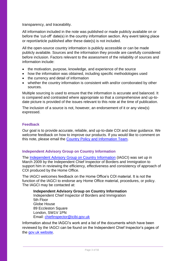#### transparency, and traceability.

All information included in the note was published or made publicly available on or before the 'cut-off' date(s) in the country information section. Any event taking place or report/article published after these date(s) is not included.

All the open-source country information is publicly accessible or can be made publicly available. Sources and the information they provide are carefully considered before inclusion. Factors relevant to the assessment of the reliability of sources and information include:

- the motivation, purpose, knowledge, and experience of the source
- how the information was obtained, including specific methodologies used
- the currency and detail of information
- whether the country information is consistent with and/or corroborated by other sources.

Multiple sourcing is used to ensure that the information is accurate and balanced. It is compared and contrasted where appropriate so that a comprehensive and up-todate picture is provided of the issues relevant to this note at the time of publication.

The inclusion of a source is not, however, an endorsement of it or any view(s) expressed.

## **Feedback**

Our goal is to provide accurate, reliable, and up-to-date COI and clear guidance. We welcome feedback on how to improve our products. If you would like to comment on this note, please email the [Country Policy and Information Team.](mailto:cipu@homeoffice.gov.uk)

## **Independent Advisory Group on Country Information**

The [Independent Advisory Group on Country Information](https://www.gov.uk/government/organisations/independent-chief-inspector-of-borders-and-immigration/about/research) (IAGCI) was set up in March 2009 by the Independent Chief Inspector of Borders and Immigration to support him in reviewing the efficiency, effectiveness and consistency of approach of COI produced by the Home Office.

The IAGCI welcomes feedback on the Home Office's COI material. It is not the function of the IAGCI to endorse any Home Office material, procedures, or policy. The IAGCI may be contacted at:

**Independent Advisory Group on Country Information**  Independent Chief Inspector of Borders and Immigration 5th Floor Globe House 89 Eccleston Square London, SW1V 1PN Email: [chiefinspector@icibi.gov.uk](mailto:chiefinspector@icibi.gov.uk)

Information about the IAGCI's work and a list of the documents which have been reviewed by the IAGCI can be found on the Independent Chief Inspector's pages of the [gov.uk website.](https://www.gov.uk/government/organisations/independent-chief-inspector-of-borders-and-immigration/about/research#reviews)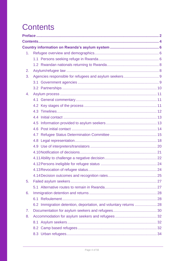# <span id="page-3-0"></span>**Contents**

| 1. |  |
|----|--|
|    |  |
|    |  |
| 2. |  |
| 3. |  |
|    |  |
|    |  |
| 4. |  |
|    |  |
|    |  |
|    |  |
|    |  |
|    |  |
|    |  |
|    |  |
|    |  |
|    |  |
|    |  |
|    |  |
|    |  |
|    |  |
|    |  |
| 5. |  |
|    |  |
| 6. |  |
|    |  |
|    |  |
| 7. |  |
| 8. |  |
|    |  |
|    |  |
|    |  |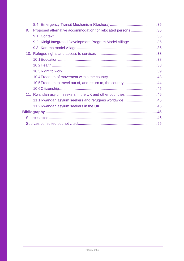| 9. | Proposed alternative accommodation for relocated persons36    |  |
|----|---------------------------------------------------------------|--|
|    |                                                               |  |
|    | 9.2 Kinigi Integrated Development Program Model Village  36   |  |
|    |                                                               |  |
|    |                                                               |  |
|    |                                                               |  |
|    |                                                               |  |
|    |                                                               |  |
|    |                                                               |  |
|    | 10.5 Freedom to travel out of, and return to, the country  44 |  |
|    |                                                               |  |
|    | 11. Rwandan asylum seekers in the UK and other countries  45  |  |
|    | 11.1 Rwandan asylum seekers and refugees worldwide 45         |  |
|    |                                                               |  |
|    |                                                               |  |
|    |                                                               |  |
|    |                                                               |  |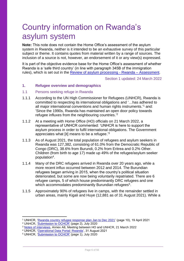# <span id="page-5-0"></span>Country information on Rwanda's asylum system

**Note:** This note does not contain the Home Office's assessment of the asylum system in Rwanda, neither is it intended to be an exhaustive survey of this particular subject or theme. It contains quotes from material written by a range of sources. The inclusion of a source is not, however, an endorsement of it or any view(s) expressed.

It is part of the objective evidence base for the Home Office's assessment of whether Rwanda is a 'safe third country' (in line with paragraph 345B of the immigration rules), which is set out in the [Review of asylum processing -](https://www.gov.uk/government/publications/rwanda-country-policy-and-information-notes) Rwanda – Assessment.

Section 1 updated: 24 March 2022

#### <span id="page-5-1"></span>**1. Refugee overview and demographics**

#### <span id="page-5-2"></span>1.1 Persons seeking refuge in Rwanda

- 1.1.1 According to the UN High Commissioner for Refugees (UNHCR), Rwanda is committed to respecting its international obligations and '…has adhered to all major international conventions and human rights instruments.'<sup>1</sup> and: 'Since the 1990s, Rwanda has maintained an open door policy towards refugee influxes from the neighbouring countries.'<sup>2</sup>
- 1.1.2 At a meeting with Home Office (HO) officials on 21 March 2022, a representative of UNHCR commented: 'UNHCR is here to support the asylum process in order to fulfil international obligations. The Government appreciates what  $\text{Iitl}$  means to be a refugee.<sup>3</sup>
- 1.1.3 As of August 2021, the total population of refugees and asylum seekers in Rwanda was 127,382, consisting of 61.0% from the Democratic Republic of Congo (DRC), 38.6% from Burundi, 0.2% from Eritrea and 0.2% Other. Children (from birth to age 17) made up 49% of the refugee/asylum seeker population<sup>4</sup>.
- 1.1.4 Many of the DRC refugees arrived in Rwanda over 20 years ago, while a more recent influx occurred between 2012 and 2014. The Burundian refugees began arriving in 2015, when the country's political situation deteriorated, but some are now being voluntarily repatriated. There are 6 refugee camps, 5 of which house predominantly DRC refugees and one which accommodates predominantly Burundian refugees<sup>5</sup>.
- 1.1.5 Approximately 90% of refugees live in camps, with the remainder settled in urban areas, mainly Kigali and Huye (12,881 as of 31 August 2021). While a

<sup>1</sup> UNHCR, ['Rwanda country refugee response plan Jan to Dec 2021'](https://reporting.unhcr.org/sites/default/files/2021%20Rwanda%20Country%20Refugee%20Response%20Plan.pdf) (page 10), 19 April 2021

<sup>2</sup> UNHCR, ['Submission to OCHCR'](https://www.refworld.org/type,COUNTRYREP,UNHCR,RWA,607763c64,0.html) (page 2), July 2020

<sup>3</sup> [Notes of interviews,](https://www.gov.uk/government/publications/rwanda-country-policy-and-information-notes) Annex A8, Meeting between HO and UNHCR, 21 March 2022

<sup>4</sup> UNHCR, ['Operational Data Portal: Rwanda'](https://data2.unhcr.org/en/country/rwa), 31 August 2021

<sup>5</sup> UNHCR, ['Submission to OCHCR'](https://www.refworld.org/type,COUNTRYREP,UNHCR,RWA,607763c64,0.html) (page 1), July 2020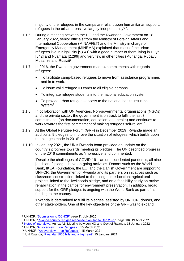majority of the refugees in the camps are reliant upon humanitarian support, refugees in the urban areas live largely independently $6.7$ .

- 1.1.6 During a meeting between the HO and the Rwandan Government on 18 January 2022, senior officials from the Ministry of Foreign Affairs and International Cooperation (MINAFFET) and the Ministry in charge of Emergency Management (MINEMA) explained that most of the urban refugees live in Kigali city [9,841] with a good number of them living in Huye [842] and Nyamata [2,299] and very few in other cities (Muhanga, Rubavu, Musanze and Rusizi)<sup>8</sup>
- 1.1.7 In 2016, the Rwandan government made 4 commitments with regards refugees:
	- To facilitate camp-based refugees to move from assistance programmes and in to work.
	- To issue valid refugee ID cards to all eligible persons.
	- To integrate refugee students into the national education system.
	- To provide urban refugees access to the national health insurance system<sup>9</sup>.
- 1.1.8 In collaboration with UN Agencies, Non-governmental organisations (NGOs) and the private sector, the government is on track to fulfil the last 3 commitments (on documentation, education, and health) and continues to work towards the first commitment of making refugees self-reliant<sup>10</sup>.
- 1.1.9 At the Global Refugee Forum (GRF) in December 2019, Rwanda made an additional 9 pledges to improve the situation of refugees, which builds upon the pledges made in 2016 $11$ .
- 1.1.10 In January 2021, the UN's Rwanda team provided an update on the country's progress towards meeting its pledges. The UN described progress on the 2016 commitments as 'impressive' and commented:

'Despite the challenges of COVID-19 – an unprecedented pandemic, all nine [additional] pledges have on-going activities. Donors such as the World Bank, IKEA Foundation, the EU, and the Danish Government are supporting UNHCR, the Government of Rwanda and its partners on initiatives such as classroom construction, linked to the pledge on education; agricultural projects linked to the livelihoods pledge, and on a feasibility study on ravine rehabilitation in the camps for environment preservation. In addition, broad support for the GRF pledges is ongoing with the World Bank as part of its funding to the country.

'Rwanda is determined to fulfil its pledges, assisted by UNHCR, donors, and other stakeholders. One of the key objectives of the GRF was to expand

<sup>6</sup> UNHCR, ['Submission to OCHCR'](https://www.refworld.org/type,COUNTRYREP,UNHCR,RWA,607763c64,0.html) page 1), July 2020

<sup>7</sup> UNHCR, ['Rwanda country refugee response plan Jan to Dec 2021'](https://reporting.unhcr.org/sites/default/files/2021%20Rwanda%20Country%20Refugee%20Response%20Plan.pdf) (page 10), 19 April 2021

<sup>8</sup> [Notes of interviews,](https://www.gov.uk/government/publications/rwanda-country-policy-and-information-notes) Annex A1, Meeting between HO and Govt of Rwanda, 18 January 2022

<sup>&</sup>lt;sup>9</sup> UNHCR, '<u>An overview … on Refugees</u> ', 15 March 2021

<sup>&</sup>lt;sup>10</sup> UNHCR, 'An overview ... on Refugees', 15 March 2021

<sup>11</sup> UN Rwanda, ['Rwanda: 1000 hills and a big heart',](https://rwanda.un.org/en/110419-rwanda-1000-hills-and-big-heart) 15 January 2021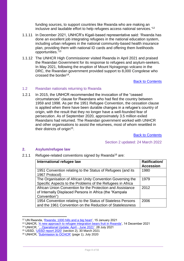funding sources, to support countries like Rwanda who are making an inclusive and laudable effort to help refugees access national services.' 12

- 1.1.11 In December 2021, UNHCR's Kigali-based representative said: 'Rwanda has done an excellent job integrating refugees in the national education system, including urban refugees in the national community-based health insurance plan, providing them with national ID cards and offering them livelihoods opportunities.'<sup>13</sup>
- 1.1.12 The UNHCR High Commissioner visited Rwanda in April 2021 and praised the Rwandan Government for its response to refugees and asylum-seekers. In May 2021, following the eruption of Mount Nyiragongo volcano in the DRC, the Rwandan government provided support to 8,000 Congolese who crossed the border<sup>14</sup>.

[Back to Contents](#page-3-0)

#### <span id="page-7-0"></span>1.2 Rwandan nationals returning to Rwanda

1.2.1 In 2015, the UNHCR recommended the invocation of the "ceased circumstances" clause for Rwandans who had fled the country between 1959 and 1998. As per the 1951 Refugee Convention, the cessation clause is applied when there have been durable changes in a refugee's country of origin, with the result that they no longer have a well-founded fear of persecution. As of September 2020, approximately 3.5 million exiled Rwandans had returned. The Rwandan government worked with UNHCR and other organisations to assist the returnees, most of whom resettled in their districts of origin<sup>15</sup>.

[Back to Contents](#page-3-0)

Section 2 updated: 24 March 2022

## <span id="page-7-1"></span>**2. Asylum/refugee law**

2.1.1 Refugee-related conventions signed by Rwanda<sup>16</sup> are:

| International refugee law                                                                                                             | <b>Ratification/</b><br><b>Accession</b> |
|---------------------------------------------------------------------------------------------------------------------------------------|------------------------------------------|
| 1951 Convention relating to the Status of Refugees (and its<br>1967 Protocol)                                                         | 1980                                     |
| The Organisation of African Unity Convention Governing the<br>Specific Aspects to the Problems of the Refugees in Africa              | 1979                                     |
| African Union Convention for the Protection and Assistance<br>of Internally Displaced Persons in Africa (the "Kampala<br>Convention") | 2012                                     |
| 1954 Convention relating to the Status of Stateless Persons<br>and the 1961 Convention on the Reduction of Statelessness              | 2006                                     |

<sup>12</sup> UN Rwanda, ['Rwanda: 1000 hills and a big heart',](https://rwanda.un.org/en/110419-rwanda-1000-hills-and-big-heart) 15 January 2021

<sup>13</sup> UNHCR, ['A new approach to refugee integration bears fruit in Rwanda',](https://www.unhcr.org/uk/news/stories/2021/12/61b853c64/new-approach-refugee-integration-bears-fruit-rwanda.html) 14 December 2021

<sup>14</sup> UNHCR, ['…Operational Update: April -](https://data2.unhcr.org/en/documents/details/87965) June 2021', 28 July 2021

<sup>15</sup> USSD, ['USSD report 2020'](https://www.state.gov/reports/2020-country-reports-on-human-rights-practices/rwanda/) (section 2), 30 March 2021

<sup>&</sup>lt;sup>16</sup> UNHCR, ['Submission to OCHCR'](https://www.refworld.org/type,COUNTRYREP,UNHCR,RWA,607763c64,0.html) (page 1), July 2020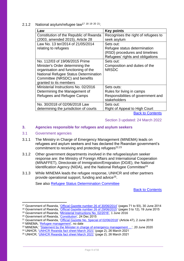2.1.2 National asylum/refugee law<sup>17</sup> <sup>18</sup> <sup>19</sup> <sup>20</sup> <sup>21</sup>:

| Law                                    | <b>Key points</b>                   |
|----------------------------------------|-------------------------------------|
| Constitution of the Republic of Rwanda | Recognises the right of refugees to |
| (2003, amended 2015), Article 28       | seek asylum                         |
| Law No. 13 ter/2014 of 21/05/2014      | Sets out:                           |
| relating to refugees                   | Refugee status determination        |
|                                        | (RSD) procedures and timelines      |
|                                        | Refugees' rights and obligations    |
| No. 112/03 of 19/06/2015 Prime         | Sets out:                           |
| Minister's Order determining the       | Composition and duties of the       |
| organisation and functioning of the    | <b>NRSDC</b>                        |
| National Refugee Status Determination  |                                     |
| Committee (NRSDC) and benefits         |                                     |
| granted to its members                 |                                     |
| Ministerial Instructions No. 02/2016   | Sets outs:                          |
| Determining the Management of          | Rules for living in camps           |
| Refugees and Refugee Camps             | Responsibilities of government and  |
|                                        | stakeholders                        |
| No. 30/2018 of 02/06/2018 Law          | Sets out:                           |
| determining the jurisdiction of courts | Right of Appeal to High Court       |
|                                        | <b>Back to Contents</b>             |

## Section 3 updated: 24 March 2022

## <span id="page-8-0"></span>**3. Agencies responsible for refugees and asylum seekers**

#### <span id="page-8-1"></span>3.1 Government agencies

- 3.1.1 The Ministry in Charge of Emergency Management (MINEMA) leads on refugees and asylum seekers and has declared the Rwandan government's commitment to receiving and protecting refugees $22,23$
- 3.1.2 Other government departments involved in the refugee/asylum seeker response are: the Ministry of Foreign Affairs and International Cooperation (MINAFFET), Directorate of Immigration/Emigration (DGIE), the National Identification Agency (NIDA), and the National Refugee Committee<sup>24</sup>
- 3.1.3 While MINEMA leads the refugee response, UNHCR and other partners provide operational support, funding and advice<sup>25</sup>.

See also [Refugee Status Determination Committee](#page-14-0)

[Back to Contents](#page-3-0)

<sup>17</sup> Government of Rwanda, ['Official Gazette number 26 of 30/06/2014'](https://www.minema.gov.rw/fileadmin/user_upload/Minema/Publications/Laws_and_Policies/Law_relating_to_refugees.pdf) (pages 71 to 93), 30 June 2014

<sup>&</sup>lt;sup>18</sup> Government of Rwanda, ['Official Gazette number 26 of 29/06/2015'](https://www.minema.gov.rw/fileadmin/user_upload/Minema/Publications/Laws_and_Policies/Prime_Minister___s_Order_determining_the_organisation_and_functioning_of_the_National_Refugee_Status_determination_committee_and_benefits_granted_to_its_members.pdf) (pages 3 to 12), 19 June 2015

<sup>19</sup> Government of Rwanda, ['Ministerial Instructions No. 02/2016',](https://www.minema.gov.rw/fileadmin/user_upload/Minema/Publications/Laws_and_Policies/Ministerial_instructions_relating_to_the_management_of_refugees_and_refugee_camps.pdf) 1 June 2016

<sup>20</sup> Government of Rwanda, ['Constitution'](https://www.refworld.org/docid/5ebc184e4.html), 24 Dec 2015

<sup>21</sup> Government of Rwanda, ['Official Gazette No. Special of 02/06/2018'](https://gazettes.africa/gazettes/rw-government-gazette-dated-2018-06-02-no-special) (Article 47), 2 June 2018

<sup>22</sup> MINEMA, ['Refugee management',](https://www.minema.gov.rw/refugees-management) no date

<sup>23</sup> MINEMA,' ['Statement by the Minister in charge of emergency management …](https://www.minema.gov.rw/news-detail/statement-by-the-minister-in-charge-of-emergency-management-on-world-refugee-day-20-june-2020)', 20 June 2020

<sup>24</sup> UNHCR, ['UNHCR Rwanda fact sheet March 2021'](https://data2.unhcr.org/en/documents/details/85742) (page 2), 26 March 2021

<sup>25</sup> UNHCR, ['UNHCR Rwanda fact sheet March 2021'](https://data2.unhcr.org/en/documents/details/85742) (page 2), 26 March 2021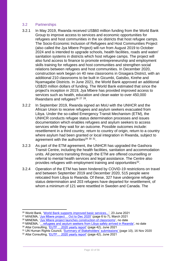## <span id="page-9-0"></span>3.2 Partnerships

- 3.2.1 In May 2019, Rwanda received US\$60 million funding from the World Bank Group to improve access to services and economic opportunities for refugees and host communities in the six districts that host refugee camps. The Socio-Economic Inclusion of Refugees and Host Communities Project (also called the Jya Mbere Project) will run from August 2019 to October 2024 and is intended to upgrade schools, health facilities, roads and water/ sanitation systems in districts which host refugee camps. The project will also fund access to finance to promote entrepreneurship and employment skills training for refugees and host communities and strengthen social relations between refugees and host communities. In December 2020, construction work began on 40 new classrooms in Gisagara District, with an additional 210 classrooms to be built in Gicumbi, Gatsibo, Kirehe and Nyamagabe Districts. In June 2021, the World Bank approved an additional US\$20 million dollars of funding. The World Bank estimated that since the project's inception in 2019, Jya Mbere has provided improved access to services such as health, education and clean water to over 450,000 Rwandans and refugees<sup>26</sup> <sup>27</sup> <sup>28</sup>.
- 3.2.2 In September 2019, Rwanda signed an MoU with the UNHCR and the African Union to receive refugees and asylum seekers evacuated from Libya. Under the so-called Emergency Transit Mechanism (ETM), the UNHCR conducts refugee status determination processes and issues documentation which enables refugees and asylum seekers to access services while they wait for an outcome. Possible outcomes include: resettlement in a third country, return to country of origin, return to a country where asylum had been granted or local integration in Rwanda, subject to agreement with the authorities<sup>29 30 31</sup>.
- 3.2.3 As part of the ETM agreement, the UNHCR has upgraded the Gashora Transit Centre, including the health facilities, sanitation and accommodation units. All persons transiting through the ETM are offered counselling or referral to mental health services and legal assistance. The Centre also provides refugees with employment training and opportunities<sup>32</sup>.
- 3.2.4 Operation of the ETM has been hindered by COVID-19 restrictions on travel and between September 2019 and December 2020, 515 people were relocated from Libya to Rwanda. Of these, 327 have undergone refugee status determination and 203 refugees have departed for resettlement, of whom a minimum of 121 were resettled in Sweden and Canada. The

<sup>26</sup> World Bank, ['World Bank supports improved basic services...'](https://www.worldbank.org/en/news/press-release/2021/06/23/world-bank-supports-improved-basic-services-and-economic-opportunities-for-refugees-and-host-communities-in-rwanda), 23 June 2021

<sup>27</sup> MINEMA, ['Jya Mbere project… Oct to Dec 2020'](https://www.minema.gov.rw/fileadmin/user_upload/Minema/Publications/Reports/Jya_Mbere_project_Quarter_two_2020-2021_Report.pdf) (page 6 to 7), March 2021

<sup>28</sup> MINEMA, ['Jya Mbere project launches construction of classrooms'](https://www.minema.gov.rw/news-detail/jya-mbere-project-launches-construction-of-classrooms), no date

<sup>29</sup> MINEMA, ['…refugees and asylum seekers from Libya safely arrived in Rwanda'](https://www.minema.gov.rw/news-detail/fourth-group-of-refugees-and-asylum-seekers-from-libya-safely-arrived-in-rwanda-1), no date

<sup>&</sup>lt;sup>30</sup> Altai Consulting, 'EUTF ... 2020 yearly report' (page 42), June 2021

<sup>31</sup> UN Human Rights Council, ['Summary of Stakeholders' submissions' \(](https://www.ohchr.org/EN/HRBodies/UPR/Pages/RWindex.aspx)page 10), 16 Nov 2020

<sup>32</sup> Altai Consulting, ['EUTF… 2020 yearly report'](https://ec.europa.eu/trustfundforafrica/sites/default/files/eutf_hoa_yearly_2020_report.pdf) (page 42), June 2021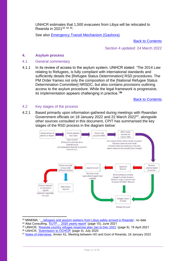UNHCR estimates that 1,500 evacuees from Libya will be relocated to Rwanda in 2021<sup>33 34 35</sup>.

See also [Emergency Transit Mechanism \(Gashora\)](#page-34-0)

[Back to Contents](#page-3-0)

Section 4 updated: 24 March 2022

#### <span id="page-10-0"></span>**4. Asylum process**

#### <span id="page-10-1"></span>4.1 General commentary

4.1.1 In its review of access to the asylum system, UNHCR stated: 'The 2014 Law relating to Refugees, is fully compliant with international standards and sufficiently details the [Refugee Status Determination] RSD procedures. The PM Order frames not only the composition of the [National Refugee Status Determination Committee] NRSDC, but also contains provisions outlining access to the asylum procedure. While the legal framework is progressive, its implementation appears challenging in practice.'**<sup>36</sup>**

[Back to Contents](#page-3-0)

#### <span id="page-10-2"></span>4.2 Key stages of the process

4.2.1 Based primarily upon information gathered during meetings with Rwandan Government officials on 18 January 2022 and 22 March 2022<sup>37</sup>, alongside other sources consulted in this document, CPIT has summarised the key stages of the RSD process in the diagram below:



<sup>33</sup> MINEMA, ['…refugees and asylum seekers from Libya safely arrived in Rwanda'](https://www.minema.gov.rw/news-detail/fourth-group-of-refugees-and-asylum-seekers-from-libya-safely-arrived-in-rwanda-1), no date

- <sup>35</sup> UNHCR, ['Rwanda country refugee response plan Jan to Dec 2021'](https://reporting.unhcr.org/sites/default/files/2021%20Rwanda%20Country%20Refugee%20Response%20Plan.pdf) (page 9), 19 April 2021
- 36 UNHCR, ['Submission to OCHCR'](https://www.refworld.org/type,COUNTRYREP,UNHCR,RWA,607763c64,0.html) (page 4), July 2020
- <sup>37</sup> [Notes of interviews,](https://www.gov.uk/government/publications/rwanda-country-policy-and-information-notes) Annex A1, Meeting between HO and Govt of Rwanda, 18 January 2022

<sup>34</sup> Altai Consulting, ['EUTF… 2020 yearly report'](https://ec.europa.eu/trustfundforafrica/sites/default/files/eutf_hoa_yearly_2020_report.pdf) (page 10), June 2021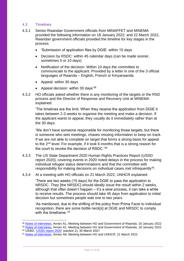## <span id="page-11-0"></span>4.3 Timelines

- 4.3.1 Senior Rwandan Government officials from MINAFFET and MINEMA provided the following information on 18 January 2022: and 22 March 2022, Rwandan government officials provided the timeline for key stages in the process:
	- 'Submission of application files by DGIE: within 15 days
	- Decision by RSDC: within 45 calendar days (can be made sooner, sometimes 5 or 10 days)
	- Notification of the decision: Within 10 days the committee to communicate to the applicant. Provided by a letter in one of the 3 official languages of Rwanda – English, French or Kinyarwanda
	- Appeal: within 30 days
	- Appeal decision: within 30 days<sup>'38</sup>
- 4.3.2 HO officials asked whether there is any monitoring of the targets or the RSD process and the Director of Response and Recovery Unit at MINEMA explained:

'The timelines are the limit. When they receive the application from DGIE it takes between 2-3 weeks to organise the meeting and make a decision. If the applicant wants to appeal, they usually do it immediately rather than at the 30 days.

'We don't have someone responsible for monitoring those targets, but there is someone who sets meetings, chases missing information to keep on track. If we are not able to complete on target that forms a strong basis for appeal to the 2nd level. For example, if it took 6 months that is a strong reason for the court to revoke the decision of RSDC.'<sup>39</sup>

- 4.3.3 The US State Department 2020 Human Rights Practices Report (USSD report 2020), covering events in 2020 noted delays in the process for making individual refugee status determinations and that the committee with responsibility for making decisions on individual cases met infrequently<sup>40</sup>.
- 4.3.4 At a meeting with HO officials on 21 March 2022, UNHCR explained:

'There are two weeks (15 days) for the DGIE to pass the application to NRSDC. They [the NRSDC] should ideally issue the result within 2 weeks, although that often doesn't happen – it's a slow process, it can take a while to receive results. The process should take 45 days from application to initial decision but sometimes people wait one to two years.

'As mentioned, due to the shifting of the policy from Prima Facie to individual recognition, there are some bottle neck[s] at DGIE and NRSDC to comply with the timeframe '41

<sup>38</sup> [Notes of interviews,](https://www.gov.uk/government/publications/rwanda-country-policy-and-information-notes) Annex A1, Meeting between HO and Government of Rwanda, 18 January 2022 <sup>39</sup> [Notes of interviews,](https://www.gov.uk/government/publications/rwanda-country-policy-and-information-notes) Annex A1, Meeting between HO and Government of Rwanda, 18 January 2022

<sup>40</sup> USSD, ['USSD](https://www.state.gov/reports/2020-country-reports-on-human-rights-practices/rwanda/) report 2020' (section 2), 30 March 2021

<sup>41</sup> [Notes of interviews,](https://www.gov.uk/government/publications/rwanda-country-policy-and-information-notes) Annex A8, Meeting between HO and UNHCR, 21 March 2022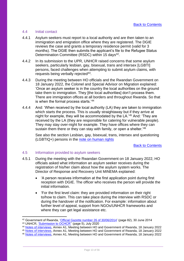#### <span id="page-12-0"></span>4.4 Initial contact

- 4.4.1 Asylum seekers must report to a local authority and are then taken to an immigration and emigration office where they are registered. The DGIE reviews the case and grants a temporary residence permit (valid for 3 months). The DGIE then submits the applicant's file to the Refugee Status Determination Committee (RSDC) within 15 days<sup>42</sup>.
- 4.4.2 In its submission to the UPR, UNHCR raised concerns that some asylum seekers, particularly lesbian, gay, bisexual, trans and intersex [LGBTI] persons, faced challenges when attempting to submit asylum claims, with requests being verbally rejected<sup>43</sup>.
- 4.4.3 During the meeting between HO officials and the Rwandan Government on 18 January 2022, the Colonel and Special Advisor on Migration explained: 'Once an asylum seeker is in the country the local authorities on the ground take them to immigration. They [the local authorities] don't process them. There are immigration offices at all borders and throughout Rwanda. So that is when the formal process starts.'<sup>44</sup>
- 4.4.4 And: 'When received by the local authority (LA) they are taken to immigration which starts the process. This is usually straightaway but if they arrive at night for example, they will be accommodated by the LA.'<sup>45</sup> And: 'They are received by the LA (they are responsible for catering for vulnerable people). They may stay over-night for example. They have offices where they can sustain them there or they can stay with family, or open a shelter.<sup>'46</sup>

See also the section Lesbian, gay, bisexual, trans, intersex and questioning (LGBTIQ+) persons in the [note on human rights](https://www.gov.uk/government/publications/rwanda-country-policy-and-information-notes)

[Back to Contents](#page-3-0)

## <span id="page-12-1"></span>4.5 Information provided to asylum seekers

- 4.5.1 During the meeting with the Rwandan Government on 18 January 2022, HO officials asked what information an asylum seeker receives during the registration of his/her claim about how the asylum system works. The Director of Response and Recovery Unit MINEMA explained:
	- 'A person receives information at the first application point during first reception with DGIE. The officer who receives the person will provide the initial information.
	- 'For the first level claim: they are provided information on their right to/how to claim. This can take place during the interview with RSDC or during the handover of the notification. For example: information about further level of appeal, support from NGOs/UNHCR frameworks and where they can get legal assistance etc.

<sup>42</sup> Government of Rwanda, ['Official Gazette number 26 of 30/06/2014'](https://www.minema.gov.rw/fileadmin/user_upload/Minema/Publications/Laws_and_Policies/Law_relating_to_refugees.pdf) (page 82), 30 June 2014

<sup>43</sup> UNHCR, ['Submission to OCHCR''](https://www.refworld.org/type,COUNTRYREP,UNHCR,RWA,607763c64,0.html) (page 5), July 2020

<sup>44</sup> [Notes of interviews,](https://www.gov.uk/government/publications/rwanda-country-policy-and-information-notes) Annex A1, Meeting between HO and Government of Rwanda, 18 January 2022

<sup>45</sup> [Notes of interviews,](https://www.gov.uk/government/publications/rwanda-country-policy-and-information-notes) Annex A1, Meeting between HO and Government of Rwanda, 18 January 2022

<sup>46</sup> [Notes of interviews,](https://www.gov.uk/government/publications/rwanda-country-policy-and-information-notes) Annex A1, Meeting between HO and Government of Rwanda, 18 January 2022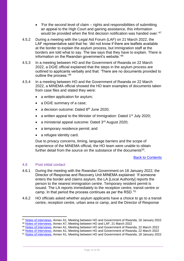- 'For the second level of claim rights and responsibilities of submitting an appeal to the High Court and gaining assistance, this information would be provided when the first decision notification was handed over.<sup>'47</sup>
- 4.5.2 During a meeting with the Legal Aid Forum (LAF) on 21 March 2022, the LAF representative said that he: 'did not know if there are leaflets available at the border to explain the asylum process, but Immigration staff at the borders are told what to say. The law says that they have to explain. There is information on the Rwandan government's website.'<sup>48</sup>
- 4.5.3 In a meeting between HO and the Government of Rwanda on 22 March 2022, a DGIE official explained that the steps in the asylum process are outlined to applicants verbally and that: 'There are no documents provided to outline the process.'<sup>49</sup>
- 4.5.4 In a meeting between HO and the Government of Rwanda on 22 March 2022, a MINEMA official showed the HO team examples of documents taken from case files and stated they were:
	- a written application for asylum;
	- a DGIE summary of a case;
	- a decision outcome: Dated 8<sup>th</sup> June 2020:
	- a written appeal to the Minister of Immigration: Dated 1<sup>st</sup> July 2020;
	- a ministerial appeal outcome: Dated 3rd August 2020;
	- a temporary residence permit; and
	- a refugee identity card.

Due to privacy concerns, timing, language barriers and the scope of experience of the MINEMA official, the HO team were unable to obtain further detail from the source on the substance of the documents<sup>50</sup>.

#### [Back to Contents](#page-3-0)

#### <span id="page-13-0"></span>4.6 Post initial contact

- 4.6.1 During the meeting with the Rwandan Government on 18 January 2022, the Director of Response and Recovery Unit MINEMA explained: 'If someone enters the border and claims asylum, the LA [Local Authority] reports the person to the nearest immigration centre. Temporary resident permit is issued. The LA reports immediately to the reception centre, transit centre or camp. In that period the process continues as per the RSD.'<sup>51</sup>
- 4.6.2 HO officials asked whether asylum applicants have a choice to go to a transit centre, reception centre, urban area or camp, and the Director of Response

<sup>47</sup> [Notes of interviews,](https://www.gov.uk/government/publications/rwanda-country-policy-and-information-notes) Annex A1, Meeting between HO and Government of Rwanda, 18 January 2022

<sup>48</sup> [Notes of interviews,](https://www.gov.uk/government/publications/rwanda-country-policy-and-information-notes) Annex A7, Meeting between HO and LAF, 21 March 2022

<sup>49</sup> [Notes of interviews,](https://www.gov.uk/government/publications/rwanda-country-policy-and-information-notes) Annex A1, Meeting between HO and Government of Rwanda, 22 March 2022

<sup>50</sup> [Notes of interviews,](https://www.gov.uk/government/publications/rwanda-country-policy-and-information-notes) Annex A1, Meeting between HO and Government of Rwanda, 22 March 2022

<sup>51</sup> [Notes of interviews,](https://www.gov.uk/government/publications/rwanda-country-policy-and-information-notes) Annex A1, Meeting between HO and Government of Rwanda, 18 January 2022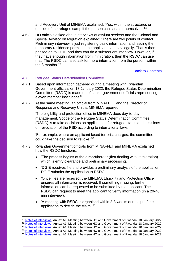and Recovery Unit of MINEMA explained: 'Yes, within the structures or outside of the refugee camp if the person can sustain themselves.<sup>'52</sup>

4.6.3 HO officials asked about interviews of asylum seekers and the Colonel and Special Advisor on Migration explained: 'There are two points of contact. Preliminary interview is just registering basic information and issuing the temporary residence permit so the applicant can stay legally. That is then passed on to DGIE and they can do a subsequent interview. However, if they have enough information from immigration, then the RSDC can use that. The RSDC can also ask for more information from the person, within the 3 months.'<sup>53</sup>

[Back to Contents](#page-3-0)

## <span id="page-14-0"></span>4.7 Refugee Status Determination Committee

- 4.7.1 Based upon information gathered during a meeting with Rwandan Government officials on 18 January 2022, the Refugee Status Determination Committee (RSDC) is made up of senior government officials representing eleven member institutions<sup>54</sup>
- 4.7.2 At the same meeting, an official from MINAFFET and the Director of Response and Recovery Unit at MINEMA reported:

'The eligibility and protection office in MINEMA does day-to-day management. Scope of the Refugee Status Determination Committee (RSDC) is to take decisions on applications for refugee status and decisions on revocation of the RSD according to international laws.

'For example, where an applicant faced terrorist charges, the committee could take the decision to revoke.'<sup>55</sup>

- 4.7.3 Rwandan Government officials from MINAFFET and MINEMA explained how the RSDC functions:
	- 'The process begins at the airport/border (first dealing with immigration) which is entry clearance and preliminary processing.
	- 'DGIE receives file and provides a preliminary analysis of the application. DGIE submits the application to RSDC.
	- 'Once files are received, the MINEMA Eligibility and Protection Office ensures all information is received. If something missing, further information can be requested to be submitted by the applicant. The RSDC can request to meet the applicant to verify information (in a 20-40 min interview).
	- 'A meeting with RSDC is organised within 2-3 weeks of receipt of the application to decide the claim.'<sup>56</sup>

<sup>52</sup> [Notes of interviews,](https://www.gov.uk/government/publications/rwanda-country-policy-and-information-notes) Annex A1, Meeting between HO and Government of Rwanda, 18 January 2022

<sup>53</sup> [Notes of interviews,](https://www.gov.uk/government/publications/rwanda-country-policy-and-information-notes) Annex A1, Meeting between HO and Government of Rwanda, 18 January 2022

<sup>54</sup> [Notes of interviews,](https://www.gov.uk/government/publications/rwanda-country-policy-and-information-notes) Annex A1, Meeting between HO and Government of Rwanda, 18 January 2022

<sup>55</sup> [Notes of interviews,](https://www.gov.uk/government/publications/rwanda-country-policy-and-information-notes) Annex A1, Meeting between HO and Government of Rwanda, 18 January 2022

<sup>56</sup> [Notes of interviews,](https://www.gov.uk/government/publications/rwanda-country-policy-and-information-notes) Annex A1, Meeting between HO and Government of Rwanda, 18 January 2022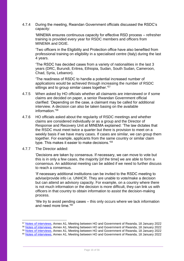4.7.4 During the meeting, Rwandan Government officials discussed the RSDC's capacity:

'MINEMA ensures continuous capacity for effective RSD process – refresher training is provided every year for RSDC members and officers from MINEMA and DGIE.

'Two officers in the Eligibility and Protection office have also benefited from professional training on eligibility in a specialised centre (Italy) during the last 4 years.

'The RSDC has decided cases from a variety of nationalities in the last 3 years (DRC, Burundi, Eritrea, Ethiopia, Sudan, South Sudan, Cameroon, Chad, Syria, Lebanon).

'The readiness of RSDC to handle a potential increased number of applications would be achieved through increasing the number of RSDC sittings and to group similar cases together.<sup>'57</sup>

- 4.7.5 When asked by HO officials whether all claimants are interviewed or if some claims are decided on paper, a senior Rwandan Government official clarified: 'Depending on the case, a claimant may be called for additional interview. A decision can also be taken basing on the available information<sup>'58</sup>
- 4.7.6 HO officials asked about the regularity of RSDC meetings and whether claims are considered individually or as a group and the Director of Response and Recovery Unit at MINEMA explained: 'The law dictates that the RSDC must meet twice a quarter but there is provision to meet on a weekly basis if we have many cases. If cases are similar, we can group them together. For example, applicants from the same country or similar claim type. This makes it easier to make decisions.'<sup>59</sup>
- 4.7.7 The Director added:

'Decisions are taken by consensus. If necessary, we can move to vote but this is in only a few cases, the majority [of the time] we are able to form a consensus. An additional meeting can be added if we need to further discuss to reach a consensus.

'If necessary additional institutions can be invited to the RSDC meeting to advise/provide info i.e. UNHCR. They are unable to vote/make a decision but can attend an advisory capacity. For example, on a country where there is not much information or the decision is more difficult, they can link us with officers in that country to obtain information to assist the decision-making process.

'We try to avoid pending cases – this only occurs where we lack information and need more time.'<sup>60</sup>

<sup>57</sup> [Notes of interviews,](https://www.gov.uk/government/publications/rwanda-country-policy-and-information-notes) Annex A1, Meeting between HO and Government of Rwanda, 18 January 2022

<sup>58</sup> [Notes of interviews,](https://www.gov.uk/government/publications/rwanda-country-policy-and-information-notes) Annex A1, Meeting between HO and Government of Rwanda, 18 January 2022

<sup>59</sup> [Notes of interviews,](https://www.gov.uk/government/publications/rwanda-country-policy-and-information-notes) Annex A1, Meeting between HO and Government of Rwanda, 18 January 2022

<sup>&</sup>lt;sup>60</sup> [Notes of interviews,](https://www.gov.uk/government/publications/rwanda-country-policy-and-information-notes) Annex A1, Meeting between HO and Government of Rwanda, 18 January 2022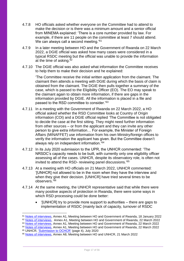- 4.7.8 HO officials asked whether everyone on the Committee had to attend to make the decision or is there was a minimum amount and a senior official from MINEMA explained: 'There is a core number provided by law. For example, if there are 11 people on the committee at least 7 should attend. We can always call a second meeting.'<sup>61</sup>
- 4.7.9 In a later meeting between HO and the Government of Rwanda on 22 March 2022, a DGIE official was asked how many cases were considered in a typical RSDC meeting but the official was unable to provide the information at the time of asking.<sup>62</sup>
- 4.7.10 The DGIE official was also asked what information the Committee receives to help them to make their decision and he explained:

'The Committee receive the initial written application from the claimant. The claimant then attends a meeting with DGIE during which the basis of claim is obtained from the claimant. The DGIE then pulls together a summary of the case, which is passed to the Eligibility Officer (EO). The EO may speak to the claimant again to obtain more information, if there are gaps in the information provided by DGIE. All the information is placed in a file and passed to the RSD committee to consider.'<sup>63</sup>

- 4.7.11 In a meeting with the Government of Rwanda on 22 March 2022, a HO official asked whether the RSD Committee looks at Country of Origin information (COI) and a DGIE official replied 'The Committee is not obligated to decide the case at the first sitting. They might need further information from other sources – or from the applicant and they can invite any other person to give extra information… For example, the Minister of Foreign Affairs (MINAFFET) use information from his own Ministry/foreign offices to verify the information the applicant has given. But the Committee doesn't always rely on independent information.'<sup>64</sup>
- 4.7.12 In its July 2020 submission to the UPR, the UNHCR commented: 'The NRSDC's capacity needs to be built, with currently only one eligibility officer assessing all of the cases. UNHCR, despite its observatory role, is often not invited to attend the RSD- reviewing panel discussions.' 65
- 4.7.13 At a meeting with HO officials on 21 March 2022, UNHCR commented: '[UNHCR] not allowed to be in the room when they have the interview and when they give their decision. [UNHCR] have tried several times to be observers.' 66
- 4.7.14 At the same meeting, the UNHCR representative said that while there were many positive aspects of protection in Rwanda, there were some ways in which RSD processing could be done better:
	- '[UNHCR] try to provide more support to authorities there are gaps to implementation of RSDC (mainly lack of capacity, turnover of RSDC

<sup>64</sup> [Notes of interviews,](https://www.gov.uk/government/publications/rwanda-country-policy-and-information-notes) Annex A1, Meeting between HO and Government of Rwanda, 22 March 2022

<sup>65</sup> UNHCR, ['Submission to OCHCR'](https://www.refworld.org/type,COUNTRYREP,UNHCR,RWA,607763c64,0.html) (page 4), July 2020

<sup>61</sup> [Notes of interviews,](https://www.gov.uk/government/publications/rwanda-country-policy-and-information-notes) Annex A1, Meeting between HO and Government of Rwanda, 18 January 2022

<sup>62</sup> [Notes of interviews,](https://www.gov.uk/government/publications/rwanda-country-policy-and-information-notes) Annex A1, Meeting between HO and Government of Rwanda, 22 March 2022

<sup>&</sup>lt;sup>63</sup> [Notes of interviews,](https://www.gov.uk/government/publications/rwanda-country-policy-and-information-notes) Annex A1, Meeting between HO and Government of Rwanda, 22 March 2022

<sup>66</sup> [Notes of interviews,](https://www.gov.uk/government/publications/rwanda-country-policy-and-information-notes) Annex A8, Meeting between HO and UNHCR, 21 March 2022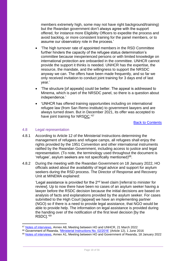members extremely high, some may not have right background/training) but the Rwandan government don't always agree with the support offered, for instance more Eligibility Officers to expedite the process and avoid backlog, or more consistent training for the panel members, or to assume our observatory role in the process.'

- 'The high turnover rate of appointed members in the RSD Committee further hinders the capacity of the refugee status determination's committee because inexperienced persons or with limited knowledge on international protection are onboarded in the committee. UNHCR cannot provide the support it thinks is needed. UNHCR has the expertise, the resource, the mandate, and the willingness to support the NRSDC anyway we can. The offers have been made frequently, and so far we only received invitation to conduct joint training for 3 days end of last year.'
- 'The structure [of appeals] could be better. The appeal is addressed to Minema, which is part of the NRSDC panel, so there is a question about independence.'
- 'UNHCR has offered training opportunities including on international refugee law (from San Remo institute) to government lawyers and are always turned down. But in December 2021, its offer was accepted to have joint training for NRSDC.'67

#### [Back to Contents](#page-3-0)

#### <span id="page-17-0"></span>4.8 Legal representation

- 4.8.1 According to Article 12 of the Ministerial Instructions determining the management of refugees and refugee camps, all refugees shall enjoy the rights provided by the 1951 Convention and other international instruments ratified by the Rwandan Government, including access to justice and legal representation. (To note, the terminology used throughout the document is 'refugee', asylum seekers are not specifically mentioned)<sup>68</sup>.
- 4.8.2 During the meeting with the Rwandan Government on 18 January 2022, HO officials asked about the availability of legal advice and support for asylum seekers during the RSD process. The Director of Response and Recovery Unit at MINEMA explained:

'Legal assistance is provided for the  $2<sup>nd</sup>$  level claim [referral to minister for review]. Up to now there have been no cases of an asylum seeker having a lawyer before the RSDC decision because the initial decisions are based on analysis of facts and explanations provided by the asylum seeker. For cases submitted to the High Court [appeal] we have an implementing partner (NGO) so if there is a need to provide legal assistance, that NGO would be able to provide help. The information on legal assistance is provided during the handing over of the notification of the first level decision [by the RSDC].'<sup>69</sup>

<sup>67</sup> [Notes of interviews,](https://www.gov.uk/government/publications/rwanda-country-policy-and-information-notes) Annex A8, Meeting between HO and UNHCR, 21 March 2022

<sup>68</sup> Government of Rwanda, ['Ministerial Instructions No. 02/2016'](https://www.minema.gov.rw/fileadmin/user_upload/Minema/Publications/Laws_and_Policies/Ministerial_instructions_relating_to_the_management_of_refugees_and_refugee_camps.pdf) (Article 12), 1 June 2016

<sup>69</sup> [Notes of interviews,](https://www.gov.uk/government/publications/rwanda-country-policy-and-information-notes) Annex A1, Meeting between HO and Government of Rwanda, 18 January 2022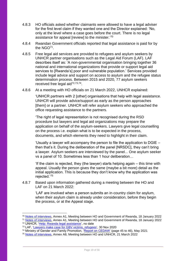- 4.8.3 HO officials asked whether claimants were allowed to have a legal adviser for the first level claim if they wanted one and the Director explained: 'No, only at the level where a case goes before the court. There is no legal assistance for appeal [review] to the minister.'70
- 4.8.4 Rwandan Government officials reported that legal assistance is paid for by the NGO<sup>71</sup> .
- 4.8.5 Free legal aid services are provided to refugees and asylum seekers by UNHCR partner organisations such as the Legal Aid Forum (LAF). LAF describes itself as: 'A non-governmental organisation bringing together 36 national and international organizations that provide or support legal aid services to [Rwanda's] poor and vulnerable population.' Services provided include legal advice and support on access to asylum and the refugee status determination process. Between 2015 and 2020, 77 asylum seekers received free legal aid<sup>72,73,74</sup>.
- 4.8.6 At a meeting with HO officials on 21 March 2022, UNHCR explained:

'UNHCR partners with 2 [other] organisations that help with legal assistance. UNHCR will provide advice/support as early as the person approaches [them] or a partner. UNHCR will refer asylum seekers who approached the office requesting assistance to the partners.

'The right of legal representation is not recognised during the RSD procedure but lawyers and legal aid organizations may prepare the application on behalf of the asylum-seekers. Lawyers give legal counselling on the process i.e. explain what is to be expected in the process, documents, and which elements they need to highlight in their claim.

'Usually a lawyer will accompany the person to file the application to DGIE – then that's it. During the deliberation of the panel [NRSDC], they can't bring a lawyer. Asylum seekers are interviewed by the panel... One asylum seeker vs a panel of 10. Sometimes less than 1 hour deliberation…

'If the claim is rejected, they (the lawyer) starts helping again – this time with appeal. Usually the person gives the same (maybe a bit more) detail as the initial application. This is because they don't know why the application was rejected.'<sup>75</sup>

4.8.7 Based upon information gathered during a meeting between the HO and LAF on 21 March 2022:

> 'LAF are involved when a person submits an in-country claim for asylum, when their asylum claim is already under consideration, before they begin the process, or at the Appeal stage.

<sup>70</sup> [Notes of interviews,](https://www.gov.uk/government/publications/rwanda-country-policy-and-information-notes) Annex A1, Meeting between HO and Government of Rwanda, 18 January 2022

<sup>&</sup>lt;sup>71</sup> [Notes of interviews,](https://www.gov.uk/government/publications/rwanda-country-policy-and-information-notes) Annex A1, Meeting between HO and Government of Rwanda, 18 January 2022 <sup>72</sup> UNHCR, ['Help: Rwanda legal assistance',](https://help.unhcr.org/rwanda/services/legal-assistance/) no date

<sup>73</sup> LAF, ['Lawyers make case for GBV victims, refugees',](https://legalaidrwanda.org/spip.php?article208) 30 Nov 2020

<sup>&</sup>lt;sup>74</sup> Ministry of Gender and Family Promotion, ['Report on CEDAW'](https://www.migeprof.gov.rw/fileadmin/user_upload/Migeprof/Publications/Reports/Rwanda_s_10th_Periodic_Report_on_the_implementation_of_CEDAW-2021.pdf) (page 45 to 46), May 2021

<sup>75</sup> [Notes of interviews,](https://www.gov.uk/government/publications/rwanda-country-policy-and-information-notes) Annex A8, Meeting between HO and UNHCR, 21 March 2022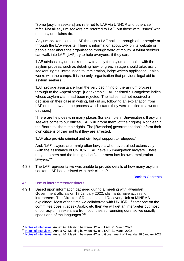'Some [asylum seekers] are referred to LAF via UNHCR and others self refer. Not all asylum seekers are referred to LAF, but those with 'issues' with their asylum claims do.

'Asylum seekers contact LAF through a LAF hotline, through other people or through the LAF website. There is information about LAF on its website or people hear about the organisation through word of mouth. Asylum seekers can walk into LAF. [LAF] try to help everyone, if they can.

'LAF advises asylum seekers how to apply for asylum and helps with the asylum process, such as detailing how long each stage should take, asylum seekers' rights, introduction to immigration, lodge written application. It also works with the camps. It is the only organisation that provides legal aid to asylum seekers…

'LAF provide assistance from the very beginning of the asylum process through to the Appeal stage. [For example, LAF assisted 5 Congolese ladies whose asylum claim had been rejected. The ladies had not received a decision on their case in writing, but did so, following an explanation from LAF on the Law and the process which states they were entitled to a written decision.]

'There are help desks in many places (for example in Universities). If asylum seekers come to our offices, LAF will inform them [of their rights]. Not clear if the Board tell them their rights. The [Rwandan] government don't inform their own citizens of their rights if they are arrested.

'LAF also provide criminal and civil legal support to refugees.'

And: 'LAF lawyers are Immigration lawyers who have trained extensively (with the assistance of UNHCR). LAF have 15 Immigration lawyers. There may be others and the Immigration Department has its own Immigration lawyers.'<sup>76</sup>

4.8.8 The LAF representative was unable to provide details of how many asylum seekers LAF had assisted with their claims<sup>77</sup>.

## [Back to Contents](#page-3-0)

#### <span id="page-19-0"></span>4.9 Use of interpreters/translators

4.9.1 Based upon information gathered during a meeting with Rwandan Government officials on 18 January 2022, claimants have access to interpreters. The Director of Response and Recovery Unit at MINEMA explained: 'Most of the time we collaborate with UNHCR. If someone on the committee doesn't speak Arabic etc then we will get an interpreter but most of our asylum seekers are from countries surrounding ours, so we usually speak one of the languages.<sup>'78</sup>

<sup>76</sup> [Notes of interviews,](https://www.gov.uk/government/publications/rwanda-country-policy-and-information-notes) Annex A7, Meeting between HO and LAF, 21 March 2022

<sup>&</sup>lt;sup>77</sup> [Notes of interviews,](https://www.gov.uk/government/publications/rwanda-country-policy-and-information-notes) Annex A7, Meeting between HO and LAF, 21 March 2022

<sup>&</sup>lt;sup>78</sup> [Notes of interviews,](https://www.gov.uk/government/publications/rwanda-country-policy-and-information-notes) Annex A1, Meeting between HO and Government of Rwanda, 18 January 2022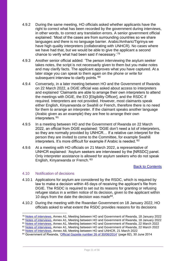- 4.9.2 During the same meeting, HO officials asked whether applicants have the right to correct what has been recorded by the government during interviews, in other words, to correct any translation errors. A senior government official explained: 'Most of the cases are from surrounding countries so we share languages and there is no language barrier. Arabic/Amharic/Tigrinya we have high quality interpreters (collaborating with UNHCR). No cases where we have had that, but we would be able to give the applicant a second chance to verify what had been said if necessary.'<sup>79</sup>
- 4.9.3 Another senior official added: 'The person interviewing the asylum seeker takes notes, the script is not necessarily given to them but you make notes and may clarify facts. The applicant approves what you have captured. At a later stage you can speak to them again on the phone or write for subsequent interview to clarify points.<sup>'80</sup>
- 4.9.4 Conversely, in a later meeting between HO and the Government of Rwanda on 22 March 2022, a DGIE official was asked about access to interpreters and explained 'Claimants are able to arrange their own interpreters to attend the meetings with DGIE, the EO [Eligibility Officer], and the RSDC if required. Interpreters are not provided. However, most claimants speak either English, Kinyarwanda or Swahili or French, therefore there is no need for them to arrange an interpreter. If the claimant speaks another language (Arabic given as an example) they are free to arrange their own interpreters.'<sup>81</sup>
- 4.9.5 In a meeting between HO and the Government of Rwanda on 22 March 2022, an official from DGIE explained: 'DGIE don't need a lot of interpreters, so they are normally provided by UNHCR… If a relative can interpret for the person they are invited to come to the Committee, for example Swahili interpreters. It's more difficult for example if Arabic is needed.'<sup>82</sup>
- 4.9.6 At a meeting with HO officials on 21 March 2022, a representative of UNHCR explained: 'Asylum seekers are interviewed by the [NRSDC] panel. Only interpreter assistance is allowed for asylum seekers who do not speak English, Kinyarwanda or French.' 83

#### [Back to Contents](#page-3-0)

#### <span id="page-20-0"></span>4.10 Notification of decisions

- 4.10.1 Applications for asylum are considered by the RSDC, which is required by law to make a decision within 45 days of receiving the applicant's file from DGIE. The RSDC is required to set out its reasons for granting or refusing refugee status in a written notice of its decision, given to the applicant within 10 days from the date the decision was made $84$ .
- 4.10.2 During the meeting with the Rwandan Government on 18 January 2022, HO officials asked to what extent the RSDC provides reasons for its decisions

<sup>79</sup> [Notes of interviews,](https://www.gov.uk/government/publications/rwanda-country-policy-and-information-notes) Annex A1, Meeting between HO and Government of Rwanda, 18 January 2022

<sup>80</sup> [Notes of interviews,](https://www.gov.uk/government/publications/rwanda-country-policy-and-information-notes) Annex A1, Meeting between HO and Government of Rwanda, 18 January 2022

<sup>81</sup> [Notes of interviews,](https://www.gov.uk/government/publications/rwanda-country-policy-and-information-notes) Annex A1, Meeting between HO and Government of Rwanda, 22 March 2022

<sup>82</sup> [Notes of interviews,](https://www.gov.uk/government/publications/rwanda-country-policy-and-information-notes) Annex A1, Meeting between HO and Government of Rwanda, 22 March 2022

<sup>83</sup> [Notes of interviews,](https://www.gov.uk/government/publications/rwanda-country-policy-and-information-notes) Annex A8, Meeting between HO and UNHCR, 21 March 2022

<sup>84</sup> Government of Rwanda, ['Official Gazette number 26 of 30/06/2014'](https://www.minema.gov.rw/fileadmin/user_upload/Minema/Publications/Laws_and_Policies/Law_relating_to_refugees.pdf) (page 82), 30 June 2014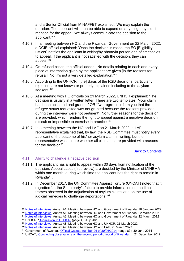and a Senior Official from MINAFFET explained: 'We may explain the decision. The applicant will then be able to expand on anything they didn't mention for the appeal. We always communicate the decision to the applicant.'<sup>85</sup>

- 4.10.3 In a meeting between HO and the Rwandan Government on 22 March 2022, a DGIE official explained: 'Once the decision is made, the EO [Eligibility Officer] notifies the applicant in writing/by phone/in person and of timescales to appeal. If the applicant is not satisfied with the decision, they can appeal.'<sup>86</sup>
- 4.10.4 On refused cases, the official added: 'No details relating to each and every piece of information given by the applicant are given [in the reasons for refusal]. No, it's not a very detailed explanation.'<sup>87</sup>
- 4.10.5 According to the UNHCR: '[the] Basis of the RSD decisions, particularly rejection, are not known or properly explained including to the asylum seekers.'88
- 4.10.6 At a meeting with HO officials on 21 March 2022, UNHCR explained: 'The decision is usually in a written letter. There are two templates: "your claim has been accepted and granted" OR ""we regret to inform you that the refugee status requested was not granted because the reasons provided during the interview were not pertinent". No further reasons for the decision are provided, which renders the right to appeal against a negative decision difficult or impossible to exercise in practice.'89
- 4.10.7 In a meeting between the HO and LAF on 21 March 2022, a LAF representative explained that, by law, the RSD Committee must notify every applicant of the outcome of his/her asylum claim in writing, but the representative was unsure whether all claimants are provided with reasons for the decision<sup>90</sup>.

[Back to Contents](#page-3-0)

## <span id="page-21-0"></span>4.11 Ability to challenge a negative decision

- 4.11.1 The applicant has a right to appeal within 30 days from notification of the decision. Appeal cases (first review) are decided by the Minister of MINEMA within one month, during which time the applicant has the right to remain in Rwanda<sup>91</sup>.
- 4.11.2 In December 2017, the UN Committee Against Torture (UNCAT) noted that it regretted '… the State party's failure to provide information on the time frames observed in the adjudication of asylum claims and on the use of judicial remedies to challenge deportations.'<sup>92</sup>

<sup>85</sup> [Notes of interviews,](https://www.gov.uk/government/publications/rwanda-country-policy-and-information-notes) Annex A1, Meeting between HO and Government of Rwanda, 18 January 2022

<sup>86</sup> [Notes of interviews,](https://www.gov.uk/government/publications/rwanda-country-policy-and-information-notes) Annex A1, Meeting between HO and Government of Rwanda, 22 March 2022

<sup>87</sup> [Notes of interviews,](https://www.gov.uk/government/publications/rwanda-country-policy-and-information-notes) Annex A1, Meeting between HO and Government of Rwanda, 22 March 2022

<sup>88</sup> UNHCR, ['Submission to OCHCR'](https://www.refworld.org/type,COUNTRYREP,UNHCR,RWA,607763c64,0.html) (page 4), July 2020

<sup>89</sup> [Notes of interviews,](https://www.gov.uk/government/publications/rwanda-country-policy-and-information-notes) Annex A8, Meeting between HO and UNHCR, 21 March 2022

<sup>90</sup> [Notes of interviews,](https://www.gov.uk/government/publications/rwanda-country-policy-and-information-notes) Annex A7, Meeting between HO and LAF, 21 March 2022

<sup>91</sup> Government of Rwanda, ['Official Gazette number 26 of 30/06/2014'](https://www.minema.gov.rw/fileadmin/user_upload/Minema/Publications/Laws_and_Policies/Law_relating_to_refugees.pdf) (page 83), 30 June 2014

<sup>92</sup> UNCAT, 'Concluding observations on the second periodic report of Rwanda...', 21 December 2017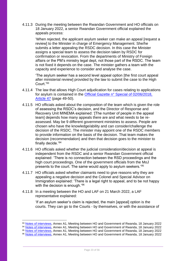4.11.3 During the meeting between the Rwandan Government and HO officials on 18 January 2022, a senior Rwandan Government official explained the appeals process:

'When rejected, the applicant asylum seeker can make an appeal [request a review] to the Minister in charge of Emergency Management. She/he submits a letter appealing the RSDC decision. In this case the Minister assigns a special team to assess the decision taken by RSDC for confirmation or revocation. From the departments of Ministry of Foreign affairs or the PM's ministry legal dept, not those part of the RSDC. The team is not fixed it depends on the case. The minister gathers a team with the capacity and experience to consider and analyse the case.

'The asylum seeker has a second level appeal option [the first court appeal after ministerial review] provided by the law to submit the case to the High Court<sup>'93</sup>

- 4.11.4 The law that allows High Court adjudication for cases relating to applications for asylum is contained in the [Official Gazette n° Special of 02/06/2018,](https://gazettes.africa/gazettes/rw-government-gazette-dated-2018-06-02-no-special)  [Article 47](https://gazettes.africa/gazettes/rw-government-gazette-dated-2018-06-02-no-special) (page 49-50).
- 4.11.5 HO officials asked about the composition of the team which is given the role of assessing the RSDC's decision, and the Director of Response and Recovery Unit MINEMA explained: '[The number of people in the appeal team] depends how many appeals there are and what needs to be reassessed. May be 9 different government ministries to assess. People are chosen who have the knowledge/ability and can consider/challenge the decision of the RSDC. The minister may appoint one of the RSDC members to provide information on the basis of the decision. That team makes the decision (recommendation) and then that decision goes to the minister to finally decide.'<sup>94</sup>
- 4.11.6 HO officials asked whether the judicial consideration/decision at appeal is independent from the RSDC and a senior Rwandan Government official explained: 'There is no connection between the RSD proceedings and the high court proceedings. One of the government officials from the MoJ presents to the court. The same would apply to asylum seekers.'<sup>95</sup>
- 4.11.7 HO officials asked whether claimants need to give reasons why they are appealing a negative decision and the Colonel and Special Advisor on Immigration explained: 'There is a legal right to appeal, and to be not happy with the decision is enough.<sup>'96</sup>
- 4.11.8 In a meeting between the HO and LAF on 21 March 2022, a LAF representative explained:

'If an asylum seeker's claim is rejected, the main [appeal] option is the courts. They can go to the Courts - by themselves, or with the assistance of

<sup>93</sup> [Notes of interviews,](https://www.gov.uk/government/publications/rwanda-country-policy-and-information-notes) Annex A1, Meeting between HO and Government of Rwanda, 18 January 2022

<sup>94</sup> [Notes of interviews,](https://www.gov.uk/government/publications/rwanda-country-policy-and-information-notes) Annex A1, Meeting between HO and Government of Rwanda, 18 January 2022

<sup>95</sup> [Notes of interviews,](https://www.gov.uk/government/publications/rwanda-country-policy-and-information-notes) Annex A1, Meeting between HO and Government of Rwanda, 18 January 2022

<sup>96</sup> [Notes of interviews,](https://www.gov.uk/government/publications/rwanda-country-policy-and-information-notes) Annex A1, Meeting between HO and Government of Rwanda, 18 January 2022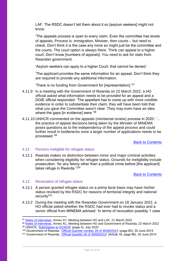LAF. The RSDC doesn't tell them about it so [asylum seekers] might not know.

'The appeals process is open to every claim. Even the committee has levels of appeals. Process is: immigration, Minister, then courts – but need to check. Don't think it is the case any more so might just be the committee and the courts. The court option is always there. Think can appeal to a higher court. Don't know [numbers of appeals]. You need to ask for stats from Rwandan government.

'Asylum seekers can apply to a higher Court, that cannot be denied.'

'The applicant provides the same information for an appeal. Don't think they are required to provide any additional information.

'There is no funding from Government for [representation].'<sup>97</sup>

- 4.11.9 In a meeting with the Government of Rwanda on 22 March 2022, a HO official asked what information needs to be provided for an appeal and a DGIE official responded: 'The appellant has to come up with more credible evidence in order to substantiate their claim, they will have been told that what you gave the Committee wasn't clear. They may even have an idea where the gaps [in evidence] were.<sup>'98</sup>
- 4.11.10 UNHCR commented on the appeals (ministerial review) process in 2020: '… the practice of appeal decisions being taken by the Minister of MINEMA poses questions as to the independency of the appeal process and could further result in bottlenecks once a larger number of applications needs to be processed.'<sup>99</sup>

[Back to Contents](#page-3-0)

## <span id="page-23-0"></span>4.12 Persons ineligible for refugee status

4.12.1 Rwanda makes no distinction between minor and major criminal activities when considering eligibility for refugee status. Grounds for ineligibility include prosecution: 'for any felony other than a political crime before [the applicant] takes refuge in Rwanda.'100

#### [Back to Contents](#page-3-0)

## <span id="page-23-1"></span>4.13 Revocation of refugee status

- 4.13.1 A person granted refugee status on a prima facie basis may have his/her status revoked by the RSDC for reasons of territorial integrity and national security<sup>101</sup>.
- 4.13.2 During the meeting with the Rwandan Government on 18 January 2022, a HO official asked whether the RSDC had ever had to revoke status and a senior official from MINEMA advised: 'In terms of revocation possibly 1 case

<sup>97</sup> [Notes of interviews,](https://www.gov.uk/government/publications/rwanda-country-policy-and-information-notes) Annex A7, Meeting between HO and LAF, 21 March 2022

<sup>98</sup> [Notes of interviews,](https://www.gov.uk/government/publications/rwanda-country-policy-and-information-notes) Annex A1, Meeting between HO and Government of Rwanda, 22 March 2022 99 UNHCR, ['Submission to OCHCR'](https://www.refworld.org/type,COUNTRYREP,UNHCR,RWA,607763c64,0.html) (page 4), July 2020

<sup>100</sup> Government of Rwanda, ['Official Gazette number 26 of 30/06/2014'](https://www.minema.gov.rw/fileadmin/user_upload/Minema/Publications/Laws_and_Policies/Law_relating_to_refugees.pdf) (page 85), 30 June 2014

<sup>101</sup> Government of Rwanda, ['Official Gazette 26 of 30/06/2014'](https://www.minema.gov.rw/fileadmin/user_upload/Minema/Publications/Laws_and_Policies/Law_relating_to_refugees.pdf) (Article 16, page 86), 30 June 2014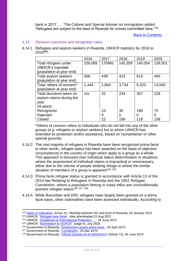back in 2017 ….' The Colonel and Special Adviser on Immigration added: 'Refugees are subject to the laws of Rwanda for crimes committed here.'<sup>102</sup>

[Back to Contents](#page-3-0)

#### <span id="page-24-0"></span>4.14 Decision outcomes and recognition rates

4.14.1 Refugees and asylum-seekers in Rwanda, UNHCR statistics for 2016 to 2020**<sup>103</sup>**:

|                                                                            | 2016    | 2017   | 2018    | 2019    | 2020    |
|----------------------------------------------------------------------------|---------|--------|---------|---------|---------|
| Total refugees under<br><b>UNHCR's mandate</b><br>(population at year end) | 156,065 | 170991 | 145,359 | 145,054 | 139,501 |
| Total asylum seekers<br>(population at year end)                           | 456     | 438    | 423     | 613     | 465     |
| Total 'others of concern'*<br>(population at year end)                     | 1,444   | 1,844  | 3,734   | 5,323   | 13,640  |
| Total decisions taken on<br>asylum claims during the<br>year               | n/a     | 32     | 234     | 307     | 228     |
| Of which:<br>Recognized                                                    |         | 10     | 35      | 188     | 70      |
| Rejected                                                                   |         | 0      | 0       | 0       | 0       |
| Closed                                                                     |         | 22     | 199     | 119     | 158     |

\*Others of concern refers to individuals who do not fall into any of the other groups (e.g. refugees or asylum seekers) but to whom UNHCR has extended its protection and/or assistance, based on humanitarian or other special grounds.

- 4.14.2 The vast majority of refugees in Rwanda have been recognized prima facie; in other words, refugee status has been awarded on the basis of objective circumstances in the country of origin which apply to a group as a whole. This approach is favoured over individual status determination in situations where the assessment of individual claims is impractical or unnecessary, either due to the volume of people seeking refuge or where the similar situation of members of a group is apparent<sup>104 105</sup>.
- 4.14.3 Prima facie refugee status is granted in accordance with Article 13 of the 2014 law Relating to Refugees in Rwanda and the 1951 Refugee Convention, where a population fleeing in mass influx are unconditionally granted refugee status<sup>106 107 108</sup>.
- 4.14.4 While Burundian and DRC refugees have largely been granted on a prima facie basis, other nationalities have been assessed individually. According to

<sup>102</sup> [Notes of interviews,](https://www.gov.uk/government/publications/rwanda-country-policy-and-information-notes) Annex A1, Meeting between HO and Govt of Rwanda, 18 January 2022 <sup>103</sup> UNHCR, ['Refugee data finder](https://www.unhcr.org/refugee-statistics/download/?url=E1ZxP4)', data downloaded 23 Aug 2021

<sup>104</sup> UNHCR, ['Guidelines on International Protection …'](https://www.unhcr.org/558a62299.html), 24 June 2015

<sup>105</sup> UNHCR, 'Submission to OCHCR' (page 4), July 2020

<sup>106</sup> Government of Rwanda, ['Government grants prima facie..'](https://reliefweb.int/report/rwanda/government-grants-prima-facie-refugee-status-burundian-refugees) 24 April 2015

<sup>&</sup>lt;sup>107</sup> Government of Rwanda, ['Constitution',](https://www.refworld.org/docid/5ebc184e4.html) 24 Dec 2015

<sup>108</sup> Government of Rwanda, ['Official Gazette 26 of 30/06/2014'](https://www.minema.gov.rw/fileadmin/user_upload/Minema/Publications/Laws_and_Policies/Law_relating_to_refugees.pdf) (Article 13), 30 June 2014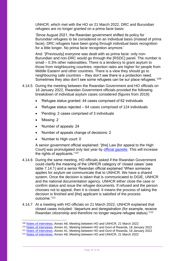UNHCR, which met with the HO on 21 March 2022, DRC and Burundian refugees are no longer granted on a prima facie basis:

'Since August 2021, the Rwandan government shifted its policy for Burundian refugees to be considered on an individual basis (instead of prima facie), DRC refugees have been going through individual basis recognition for a little longer. No prima facie recognition anymore.'

And: '[Previously] everyone was dealt with as prima facie: only non-Burundian and non-DRC would go through the [RSDC] panel. The number is small – 0.3% other nationalities. There is a tendency to grant asylum to those from neighbouring countries; rejection rates are higher for people from Middle Eastern and other countries. There is a view they should go to neighbouring safe countries – they don't see there is a protection need. Sometimes they also don't see some refugees can be sur place refugees.'109

- 4.14.5 During the meeting between the Rwandan Government and HO officials on 18 January 2022, Rwandan Government officials provided the following breakdown of individual asylum cases considered (figures from 2019):
	- 'Refugee status granted: 44 cases comprised of 62 individuals
	- 'Refugee status rejected 64 cases comprised of 124 individuals
	- 'Pending: 2 cases comprised of 3 individuals
	- 'Missing: 2
	- 'Number of appeals: 24
	- 'Number of appeals change of decisions: 2
	- 'Number to High court: 0

A senior government official explained: '[the] Law [for appeal to the High Court] was promulgated only last year by [official gazette.](https://gazettes.africa/gazettes/rw-government-gazette-dated-2018-06-02-no-special) This will increase the rights of applicants.'<sup>110</sup>

- 4.14.6 During the same meeting, HO officials asked if the Rwandan Government could clarify the meaning of the UNHCR category of 'closed cases' (see table 7.14.1) and a senior Rwandan official explained 'When someone applies for asylum we communicate that to UNHCR. We have a shared system. Once the decision is taken that is communicated to DGIE, UNHCR and the national documentation agency. UNHCR either close the case or confirm status and issue the refugee documents. If refused and the person chooses not to appeal, then it is closed. It means the process of taking the decision is finished and [the] applicant is satisfied of the process outcome.'<sup>111</sup>
- 4.14.7 At a meeting with HO officials on 21 March 2022, UNHCR explained that closed cases included: 'departure and deregistration (for example, receive Rwandan citizenship and therefore no longer require refugee status).'<sup>112</sup>

<sup>109</sup> [Notes of interviews,](https://www.gov.uk/government/publications/rwanda-country-policy-and-information-notes) Annex A8, Meeting between HO and UNHCR, 21 March 2022

<sup>110</sup> [Notes of interviews,](https://www.gov.uk/government/publications/rwanda-country-policy-and-information-notes) Annex A1, Meeting between HO and Govt of Rwanda, 18 January 2022

<sup>111</sup> [Notes of interviews,](https://www.gov.uk/government/publications/rwanda-country-policy-and-information-notes) Annex A1, Meeting between HO and Govt of Rwanda, 18 January 2022

<sup>112</sup> [Notes of interviews,](https://www.gov.uk/government/publications/rwanda-country-policy-and-information-notes) Annex A8, Meeting between HO and UNHCR, 21 March 2022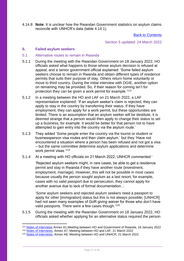4.14.8 **Note**: It is unclear how the Rwandan Government statistics on asylum claims reconcile with UNHCR's data (table 4.14.1).

[Back to Contents](#page-3-0)

Section 5 updated: 24 March 2022

#### <span id="page-26-0"></span>**5. Failed asylum seekers**

- <span id="page-26-1"></span>5.1 Alternative routes to remain in Rwanda
- 5.1.1 During the meeting with the Rwandan Government on 18 January 2022, HO officials asked what happens to those whose asylum decision is refused at appeal, and a senior government official explained: 'Some failed asylum seekers choose to remain in Rwanda and obtain different types of residence permits that suits their purpose of stay. Others return home voluntarily or move to third country. During the initial interview with DGIE, another option on remaining may be provided. So, if their reason for coming isn't for protection they can be given a work permit for example.'<sup>113</sup>
- 5.1.2 In a meeting between the HO and LAF on 21 March 2022, a LAF representative explained: 'If an asylum seeker's claim is rejected, they can apply to stay in the country by transferring their status. If they have employment, they can apply for a work permit, but these opportunities are limited. There is an assumption that an asylum seeker will be destitute, it is deemed strange that a person would then apply to change their status to set up a business, for example. It would be better for that person not to have attempted to gain entry into the country via the asylum route.'
- 5.1.3 They added 'Some people enter the country via the tourist or student or businessperson visa routes and then claim asylum.' but they 'Have not encountered a situation where a person has been refused and not got a visa – but the same committee determine asylum applications and determine work permit visas.'<sup>114</sup>
- 5.1.4 At a meeting with HO officials on 21 March 2022, UNHCR commented:'

'Rejected asylum seekers might, in rare cases, be able to get a residence permit and stay in Rwanda if they have another route (investment, employment, marriage). However, this will not be possible in most cases because usually the person sought asylum as a last resort, for example, cases with no valid passport due to persecution, they cannot apply for another avenue due to lack of formal documentation…

'Some asylum seekers and rejected asylum seekers need a passport to apply for other [immigration] status but this is not always possible; [UNHCR] had not seen many examples of GoR giving waiver for those who don't have valid passports. There were a few cases though.'115

5.1.5 During the meeting with the Rwandan Government on 18 January 2022, HO officials asked whether applying for an alternative status required the person

<sup>113</sup> [Notes of interviews](https://www.gov.uk/government/publications/rwanda-country-policy-and-information-notes) Annex A1,Meeting between HO and Government of Rwanda, 18 January 2022

<sup>114</sup> [Notes of interviews,](https://www.gov.uk/government/publications/rwanda-country-policy-and-information-notes) Annex A7, Meeting between HO and LAF, 21 March 2022

<sup>115</sup> [Notes of interviews,](https://www.gov.uk/government/publications/rwanda-country-policy-and-information-notes) Annex A8, Meeting between HO and UNHCR, 21 March 2022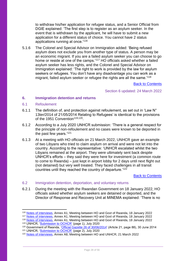to withdraw his/her application for refugee status, and a Senior Official from DGIE explained: 'The first step is to register as an asylum seeker. In the event that is withdrawn by the applicant, he will have to submit a new application for a different status of choice. You cannot have 2 status applications running at once.'<sup>116</sup>

5.1.6 The Colonel and Special Advisor on Immigration added: 'Being refused asylum does not exclude you from another type of status. A person may be an economic migrant. If you are a failed asylum seeker you can choose to go home or reside at one of the camps.'<sup>117</sup> HO officials asked whether a failed asylum seeker has less rights, and the Colonel and Special Advisor on Immigration explained: 'The right to work is provided by the law for asylum seekers or refugees. You don't have any disadvantage you can work as a migrant, failed asylum seeker or refugee the rights are all the same.'<sup>118</sup>

[Back to Contents](#page-3-0)

Section 6 updated: 24 March 2022

#### <span id="page-27-0"></span>**6. Immigration detention and returns**

- <span id="page-27-1"></span>6.1 Refoulement
- 6.1.1 The definition of, and protection against refoulement, as set out in 'Law N° 13ter/2014 of 21/05/2014 Relating to Refugees' is identical to the provisions of the 1951 Convention<sup>119,120</sup>.
- 6.1.2 According to a July 2020 UNHCR submission: 'There is a general respect for the principle of non-refoulement and no cases were known to be deported in the past few years.'<sup>121</sup>
- 6.1.3 At a meeting with HO officials on 21 March 2022, UNHCR gave an example of two Libyans who tried to claim asylum on arrival and were not let into the country. According to the representative: 'UNHCR escalated whilst the two Libyans remained at the airport. They were ultimately sent back despite UNHCR's efforts – they said they were here for investment (a common route to come to Rwanda) – just kept in airport lobby for 2 days until next flight out (not detained) but very well treated. They faced challenges in all transit countries until they reached the country of departure.'<sup>122</sup>

#### [Back to Contents](#page-3-0)

- <span id="page-27-2"></span>6.2 Immigration detention, deportation, and voluntary returns
- 6.2.1 During the meeting with the Rwandan Government on 18 January 2022, HO officials asked whether asylum seekers are detained or deported, and the Director of Response and Recovery Unit at MINEMA explained: 'There is no

<sup>116</sup> [Notes of interviews,](https://www.gov.uk/government/publications/rwanda-country-policy-and-information-notes) Annex A1, Meeting between HO and Govt of Rwanda, 18 January 2022

<sup>117</sup> [Notes of interviews,](https://www.gov.uk/government/publications/rwanda-country-policy-and-information-notes) Annex A1, Meeting between HO and Govt of Rwanda, 18 January 2022

<sup>118</sup> [Notes of interviews,](https://www.gov.uk/government/publications/rwanda-country-policy-and-information-notes) Annex A1, Meeting between HO and Govt of Rwanda, 18 January 2022 <sup>119</sup> UNHCR, ['Submission to OCHCR'](https://www.refworld.org/type,COUNTRYREP,UNHCR,RWA,607763c64,0.html) (page 1), July 2020

<sup>120</sup> Government of Rwanda, ['Official Gazette 26 of 30/06/2014'](https://www.minema.gov.rw/fileadmin/user_upload/Minema/Publications/Laws_and_Policies/Law_relating_to_refugees.pdf) (Article 21, page 88), 30 June 2014

<sup>121</sup> UNHCR, ['Submission to OCHCR'](https://www.refworld.org/type,COUNTRYREP,UNHCR,RWA,607763c64,0.html) (page 2), July 2020

<sup>122</sup> [Notes of interviews,](https://www.gov.uk/government/publications/rwanda-country-policy-and-information-notes) Annex A8, Meeting between HO and UNHCR, 21 March 2022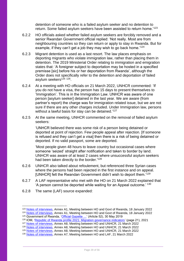detention of someone who is a failed asylum seeker and no detention to return. Some failed asylum seekers have been assisted to return home.<sup>'123</sup>

- 6.2.2 HO officials asked whether failed asylum seekers are forcibly removed and a senior Rwandan Government official replied: 'Not really. Most are from neighbouring countries so they can return or apply to stay in Rwanda. But for example, if they can't get a job they may wish to go back home.<sup>'124</sup>
- 6.2.3 Migrant detention is used as a last resort. The law places emphasis on deporting migrants who violate immigration law, rather than placing them in detention. The 2019 Ministerial Order relating to immigration and emigration states that: 'A foreigner subject to deportation may be hosted in a specified premisse [sic] before his or her deportation from Rwanda', although the Order does not specifically refer to the detention and deportation of failed asylum seekers<sup>125</sup> <sup>126</sup>.
- 6.2.4 At a meeting with HO officials on 21 March 2022, UNHCR commented: 'If you do not have a visa, the person has 15 days to present themselves to 'Immigration'. This is in the Immigration Law. UNHCR was aware of one person [asylum seeker] detained in the last year. We are aware (from partner's report) the charge was for immigration related issue, but we are not sure if there are any other charges included. Under Immigration law, persons without a lawful basis for stay can be detained.<sup>'127</sup>
- 6.2.5 At the same meeting, UNHCR commented on the removal of failed asylum seekers:

'UNHCR believed there was some risk of a person being detained or deported at point of rejection. Few people appeal after rejection. [If someone is refused and they can't get a visa] then there is a risk of being detained or deported. If no valid passport, some are deported.

'Most people given 48 hours to leave country but occasional cases where someone 'seized' straight after notification and taken to border by land. UNHCR was aware of at least 2 cases where unsuccessful asylum seekers had been taken directly to the border.'<sup>128</sup>

- 6.2.6 UNHCR also talked about refoulement, but referenced three Syrian cases where the persons had been rejected in the first instance and on appeal. [UNHCR] felt the Rwandan Government didn't wish to deport them.<sup>'129</sup>
- 6.2.7 A LAF representative who met with the HO on 21 March 2022 explained that 'A person cannot be deported while waiting for an Appeal outcome.' <sup>130</sup>
- 6.2.8 The same (LAF) source expanded:

<sup>123</sup> [Notes of interviews,](https://www.gov.uk/government/publications/rwanda-country-policy-and-information-notes) Annex A1, Meeting between HO and Govt of Rwanda, 18 January 2022

<sup>124</sup> [Notes of interviews,](https://www.gov.uk/government/publications/rwanda-country-policy-and-information-notes) Annex A1, Meeting between HO and Govt of Rwanda, 18 January 2022 125 Government of Rwanda, 'Official Gazette ...' (Article 52), 30 May 2019

<sup>126</sup> IOM, ['Republic of Rwanda profile 2021: Migration governance indicators'](https://publications.iom.int/system/files/pdf/MGI-Rwanda-2021.pdf) (page 21), 2021

<sup>127</sup> [Notes of interviews,](https://www.gov.uk/government/publications/rwanda-country-policy-and-information-notes) Annex A8, Meeting between HO and UNHCR, 21 March 2022

<sup>128</sup> [Notes of interviews,](https://www.gov.uk/government/publications/rwanda-country-policy-and-information-notes) Annex A8, Meeting between HO and UNHCR, 21 March 2022

<sup>129</sup> [Notes of interviews,](https://www.gov.uk/government/publications/rwanda-country-policy-and-information-notes) Annex A8, Meeting between HO and UNHCR, 21 March 2022

<sup>130</sup> [Notes of interviews,](https://www.gov.uk/government/publications/rwanda-country-policy-and-information-notes) Annex A7, Meeting between HO and LAF, 21 March 2022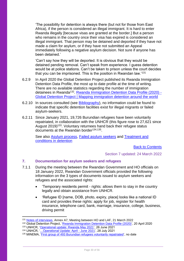'The possibility for detention is always there (but not for those from East Africa), if the person is considered an illegal immigrant. It is hard to enter Rwanda illegally [because visas are granted at the border.] But a person who remains in the country once their visa has expired is considered an illegal immigrant. That person may be detained and deported if they have not made a claim for asylum, or if they have not submitted an Appeal immediately following a negative asylum decision. Not sure if anyone has been detained.'

'Can't say how they will be deported. It is obvious that they would be detained pending removal. Can't speak from experience. I guess detention would be at police stations. Can't be taken to prison unless the court decides that you can be imprisoned. This is the position in Rwandan law.'<sup>131</sup>

- 6.2.9 In April 2020 the Global Detention Project published its Rwanda Immigration Detention Data Profile, the most up to date profile at the time of writing. There are no available statistics regarding the number of immigration detainees in Rwanda<sup>132</sup>. **Rwanda Immigration Detention Data Profile (2020)** -[Global Detention Project | Mapping immigration detention around the world](https://gbr01.safelinks.protection.outlook.com/?url=https%3A%2F%2Fwww.globaldetentionproject.org%2Frwanda-immigration-detention-data-profile-2020&data=04%7C01%7CChristopher.Hicks2%40homeoffice.gov.uk%7Cb9537c103d1841df9b7208da0b46b45b%7Cf24d93ecb2914192a08af182245945c2%7C0%7C0%7C637834695532827022%7CUnknown%7CTWFpbGZsb3d8eyJWIjoiMC4wLjAwMDAiLCJQIjoiV2luMzIiLCJBTiI6Ik1haWwiLCJXVCI6Mn0%3D%7C3000&sdata=MY0MvjVxNt3zJvuamxNK0FdjnquNnG1tyvXlRorZwgo%3D&reserved=0)
- 6.2.10 In sources consulted (see Bibliography), no information could be found to indicate that specific detention facilities exist for illegal migrants or failed asylum-seekers.
- 6.2.11 Since January 2021, 19,726 Burundian refugees have been voluntarily repatriated, in collaboration with the UNHCR (this figure rose to 27,621 since August 2019)<sup>133</sup>. Voluntary returnees hand back their refugee status documents at the Rwandan border<sup>134,135</sup>.

See also [Asylum process,](#page-10-0) [Failed asylum seekers](#page-26-0) and Treatment and conditions in detention

[Back to Contents](#page-3-0)

Section 7 updated: 24 March 2022

## <span id="page-29-0"></span>**7. Documentation for asylum seekers and refugees**

- 7.1.1 During the meeting between the Rwandan Government and HO officials on 18 January 2022, Rwandan Government officials provided the following information on the 3 types of documents issued to asylum seekers and refugees and the associated rights:
	- 'Temporary residents permit rights: allows them to stay in the country legally and obtain assistance from UNHCR.
	- 'Refugee ID [name, DOB, photo, expiry, place] looks like a national ID card and provides these rights: apply for job, register for health insurance, telephone card, bank, marriage, insurance, college, business, driving permit

<sup>131</sup> [Notes of interviews,](https://www.gov.uk/government/publications/rwanda-country-policy-and-information-notes) Annex A7, Meeting between HO and LAF, 21 March 2022

<sup>132</sup> Global Detention Project, ['Rwanda Immigration Detention Data Profile \(2020\)'](https://www.globaldetentionproject.org/rwanda-immigration-detention-data-profile-2020), 20 April 2020

<sup>133</sup> UNHCR, ['Operational update: Rwanda May 2021',](https://data2.unhcr.org/en/documents/details/87473) 26 June 2021

<sup>134</sup> UNHCR, ['…Operational Update: April -](https://data2.unhcr.org/en/documents/details/87965) June 2021', 28 July 2021

<sup>135</sup> MINEMA, ['First group of 493 Burundian refugees voluntarily repatriated'](https://www.minema.gov.rw/news-detail/first-group-of-493-burundian-refugees-voluntarily-repatriated), no date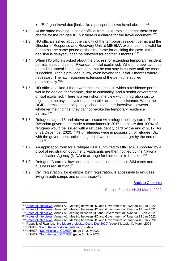- 'Refugee travel doc [looks like a passport] allows travel abroad.'<sup>136</sup>
- 7.1.2 At the same meeting, a senior official from DGIE explained that there is no charge for the refugee ID, but there is a charge for the travel document.<sup>137</sup>
- 7.1.3 HO officials asked about the validity of the temporary resident permit and the Director of Response and Recovery Unit at MINEMA explained: 'It is valid for 3 months, the same period as the timeframe for deciding the case. If the decision is delayed, it can be renewed for another 3 months.'<sup>138</sup>
- 7.1.4 When HO officials asked about the process for extending temporary resident permits a second senior Rwandan official explained: 'When the applicant has a pending appeal it is a given right that he can stay in country until the case is decided. That is provided in law, even beyond the initial 3 months where necessary. The law [regarding extension of the permit] is applied automatically.'<sup>139</sup>
- 7.1.5 HO officials asked if there were circumstances in which a residence permit would be denied, for example, due to criminality, and a senior government official explained: 'There is a very short interview with immigration just to register in the asylum system and enable access to assistance. When the DGIE deems it necessary, they schedule another interview. However, whatever the findings, they cannot revoke the temporary residence permit.'<sup>140</sup>
- 7.1.6 Refugees aged 16 and above are issued with refugee identity cards. The Rwandan government made a commitment in 2016 to ensure that 100% of refugees would be issued with a refugee identity card by the end of 2017. As of 31 December 2020, 77% of refugees were in possession of refugee IDs, with the government anticipating that it would meet its target by the end of 2021<sup>141</sup> .
- 7.1.7 An application form for a refugee ID is submitted to MINEMA, supported by a proof of registration document. Applicants are then notified by the National Identification Agency (NIDA) to arrange for biometrics to be taken<sup>142</sup>.
- 7.1.8 Refugee ID cards allow access to bank accounts, mobile SIM cards and business registration<sup>143</sup>.
- 7.1.9 Civil registration, for example, birth registration, is accessible to refugees living in both camps and urban areas<sup>144</sup>.

[Back to Contents](#page-3-0)

Section 8 updated: 24 March 2022

<sup>139</sup> [Notes of interviews,](https://www.gov.uk/government/publications/rwanda-country-policy-and-information-notes) Annex A1, Meeting between HO and Government of Rwanda,18 Jan 2022

<sup>136</sup> [Notes of interviews,](https://www.gov.uk/government/publications/rwanda-country-policy-and-information-notes) Annex A1, Meeting between HO and Government of Rwanda,18 Jan 2022

<sup>137</sup> [Notes of interviews,](https://www.gov.uk/government/publications/rwanda-country-policy-and-information-notes) Annex A1, Meeting between HO and Government of Rwanda,18 Jan 2022

<sup>138</sup> [Notes of interviews,](https://www.gov.uk/government/publications/rwanda-country-policy-and-information-notes) Annex A1,Meeting between HO and Government of Rwanda,18 Jan 2022

<sup>140</sup> [Notes of interviews,](https://www.gov.uk/government/publications/rwanda-country-policy-and-information-notes) Annex A1, Meeting between HO and Government of Rwanda,18 Jan 2022

<sup>141</sup> Republic of Rwanda, 'Jya Mbere project... Oct to Dec 2020' (page 11, table 1), March 2021

<sup>142</sup> UNHCR, ['Help: Rwanda documentation',](https://help.unhcr.org/rwanda/services/documentation/) no date

<sup>143</sup> UNHCR, ['Submission to OCHCR'](https://www.refworld.org/type,COUNTRYREP,UNHCR,RWA,607763c64,0.html) (page 6), July 2020

<sup>144</sup> UNHCR, ['Submission to OCHCR'](https://www.refworld.org/type,COUNTRYREP,UNHCR,RWA,607763c64,0.html) (page 6), July 2020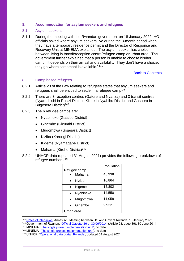## <span id="page-31-0"></span>**8. Accommodation for asylum seekers and refugees**

#### <span id="page-31-1"></span>8.1 Asylum seekers

8.1.1 During the meeting with the Rwandan government on 18 January 2022, HO officials asked where asylum seekers live during the 3-month period when they have a temporary residence permit and the Director of Response and Recovery Unit at MINEMA explained: 'The asylum seeker has choice between living in transit/reception centre/refugee camp or urban area.' The government further explained that a person is unable to choose his/her camp: 'It depends on their arrival and availability. They don't have a choice, they go where settlement is available.<sup>'145</sup>

[Back to Contents](#page-3-0)

#### <span id="page-31-2"></span>8.2 Camp based refugees

- 8.2.1 Article 23 of the Law relating to refugees states that asylum seekers and refugees shall be entitled to settle in a refugee camp<sup>146</sup>.
- 8.2.2 There are 3 reception centres (Gatore and Nyanza) and 3 transit centres (Nyarushishi in Rusizi District, Kijote in Nyabihu District and Gashora in Bugesera District)<sup>147</sup>.
- 8.2.3 The 6 refugee camps are:
	- Nyabiheke (Gatsibo District)
	- Gihembe (Gicumbi District)
	- Mugombwa (Gisagara District)
	- Kiziba (Karongi District)
	- Kigeme (Nyamagabe District)
	- Mahama (Kirehe District)<sup>148</sup>
- 8.2.4 UNHCR data (updated 31 August 2021) provides the following breakdown of refugee numbers<sup>149</sup>:

|              | Population |
|--------------|------------|
| Refugee camp |            |
| Mahama       | 45,938     |
| Kiziba       | 16,864     |
| Kigeme       | 15,802     |
| Nyabiheke    | 14,550     |
| Mugombwa     | 11,058     |
| Gihembe      | 9,922      |
| Urban area   |            |

<sup>145</sup> [Notes of interviews,](https://www.gov.uk/government/publications/rwanda-country-policy-and-information-notes) Annex A1, Meeting between HO and Govt of Rwanda, 18 January 2022

<sup>148</sup> MINEMA, ['The single project implementation unit',](https://www.minema.gov.rw/business-development) no date

<sup>146</sup> Government of Rwanda, ['Official Gazette 26 of 30/06/2014'](https://www.minema.gov.rw/fileadmin/user_upload/Minema/Publications/Laws_and_Policies/Law_relating_to_refugees.pdf) (Article 23, page 89), 30 June 2014

<sup>147</sup> MINEMA, ['The single project implementation unit',](https://www.minema.gov.rw/business-development) no date

<sup>149</sup> UNHCR, ['Operational data portal: Rwanda',](https://data2.unhcr.org/en/country/rwa) updated 31 August 2021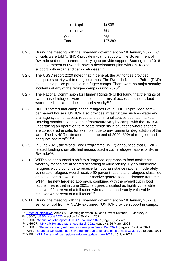| Kigali<br>$\bullet$ | 12,030  |
|---------------------|---------|
| $\bullet$ Huye      | 851     |
| Other               | 365     |
| Total               | 127,380 |

- 8.2.5 During the meeting with the Rwandan government on 18 January 2022, HO officials were told 'UNHCR provide in-camp support. The Government of Rwanda and other partners are trying to provide support. Starting from 2018 the Government of Rwanda have a development plan with UNHCR to support both urban and camp refugees.'<sup>150</sup>
- 8.2.6 The USSD report 2020 noted that in general, the authorities provided adequate security within refugee camps. The Rwanda National Police (RNP) maintains a police presence in refugee camps. There were no major security incidents at any of the refugee camps during 2020<sup>151</sup>.
- 8.2.7 The National Commission for Human Rights (NCHR) found that the rights of camp-based refugees were respected in terms of access to shelter, food, water, medical care, education and security<sup>152</sup>.
- 8.2.8 UNHCR stated that camp-based refugees live in UNHCR-provided semipermanent houses. UNHCR also provides infrastructure such as water and drainage systems, access roads and communal spaces such as markets. Housing standards and camp infrastructure vary by camp, with the UNHCR undertaking an operation to relocate residents in situations where shelters are considered unsafe, for example, due to environmental degradation of the land. The UNHCR estimated that at the end of 2020, 80% of refugees had adequate shelters<sup>153,154</sup>.
- 8.2.9 In June 2021, the World Food Programme (WFP) announced that COVIDrelated funding shortfalls had necessitated a cut in refugee rations of 8% in Rwanda<sup>155</sup>.
- 8.2.10 WFP also announced a shift to a 'targeted' approach to food assistance whereby rations are allocated according to vulnerability. Highly vulnerable refugees would continue to receive full food assistance rations, moderately vulnerable refugees would receive 50 percent rations and refugees classified as not vulnerable would no longer receive general food assistance from the WFP. The new targeted approach, combined with the overall cut in food rations means that in June 2021, refugees classified as highly vulnerable received 92 percent of a full ration whereas the moderately vulnerable received 46 percent of a full ration<sup>156</sup>.
- 8.2.11 During the meeting with the Rwandan government on 18 January 2022, a senior official from MINEMA explained: 'UNHCR provide support in camps.

<sup>155</sup> WFP, ['Refugees worldwide face rising hunger due to funding gaps amidst Covid-19',](https://www.wfp.org/news/refugees-worldwide-face-rising-hunger-due-funding-gaps-amidst-covid-19) 18 June 2021

<sup>150</sup> [Notes of interviews,](https://www.gov.uk/government/publications/rwanda-country-policy-and-information-notes) Annex A1, Meeting between HO and Govt of Rwanda, 18 January 2022 <sup>151</sup> USSD, ['USSD](https://www.state.gov/reports/2020-country-reports-on-human-rights-practices/rwanda/) report 2020' (section 2), 30 March 2021

<sup>152</sup> NCHR, ['Annual activity report, July 2019 to June 2020'](http://www.cndp.org.rw/fileadmin/user_upload/Annual_Report_2019-2020.pdf) (page 9), no date

<sup>153</sup> UNHCR, ['UNHCR Rwanda fact sheet March 2021'](https://data2.unhcr.org/en/documents/details/85742) (page 4), 26 March 2021

<sup>154</sup> UNHCR, ['Rwanda country refugee response plan Jan to Dec 2021'](https://reporting.unhcr.org/sites/default/files/2021%20Rwanda%20Country%20Refugee%20Response%20Plan.pdf) (page 7), 19 April 2021

<sup>156</sup> WFP, ['WFP Eastern Africa: regional refugee update June 2021'](https://reliefweb.int/sites/reliefweb.int/files/resources/RBN%20Refugee%20Update%20June%202021.pdf), 15 July 2021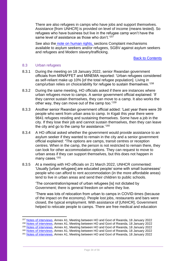There are also refugees in camps who have jobs and support themselves. Assistance [from UNHCR] is provided on level of income (means tested). So refugees who have business but live in the refugee camp won't have the same level of assistance as those who don't.'157

See also the [note on human rights,](https://www.gov.uk/government/publications/rwanda-country-policy-and-information-notes) sections Complaint mechanisms available to asylum seekers and/or refugees, SGBV against asylum seekers and refugees and Modern slavery/trafficking.

#### [Back to Contents](#page-3-0)

#### <span id="page-33-0"></span>8.3 Urban refugees

- 8.3.1 During the meeting on 18 January 2022, senior Rwandan government officials from MINAFFET and MINEMA reported: 'Urban refugees considered as self-reliant make up 10% [of the total refugee population]. Living in camp/urban relies on choice/ability for refugee to sustain themselves.'<sup>158</sup>
- 8.3.2 During the same meeting, HO officials asked if there are instances where urban refugees move to camps. A senior government official explained: 'If they cannot sustain themselves, they can move to a camp. It also works the other way, they can move out of the camp too.'<sup>159</sup>
- 8.3.3 Another senior Rwandan government official added: 'Last year there were 39 people who went from urban area to camp. In Kigali this year there were 9841 refugees residing and sustaining themselves. Some have a job in the city. If they lose their job and cannot sustain themselves, then they can leave the city and go to the camp for assistance.'<sup>160</sup>
- 8.3.4 A HO official asked whether the government would provide assistance to an asylum seeker if they wanted to remain in the city and a senior government official explained: **'**The options are camps, transit centres or reception centres. When in the camp, the person is not restricted to remain there, they can look for other accommodation options. They can request to move to urban areas if they can support themselves, but this does not happen in many cases.<sup>'161</sup>
- 8.3.5 At a meeting with HO officials on 21 March 2022, UNHCR commented: 'Usually [urban refugees] are educated people/ some with small businesses/ people who can afford to rent accommodation (in the more affordable areas) tend to live in urban areas and send their children to public schools.

'The concentration/spread of urban refugees [is] not dictated by Government; there is general freedom on where they live.

'There was lots of relocation from urban to camps in COVID-times (because of the impact on the economy). People lost jobs, restaurants and bars were closed, the typical employment. With assistance of [UNHCR], Government helped to relocate people to camps. There are free medical and education

<sup>157</sup> [Notes of interviews,](https://www.gov.uk/government/publications/rwanda-country-policy-and-information-notes) Annex A1, Meeting between HO and Govt of Rwanda, 18 January 2022

<sup>158</sup> [Notes of interviews,](https://www.gov.uk/government/publications/rwanda-country-policy-and-information-notes) Annex A1, Meeting between HO and Govt of Rwanda, 18 January 2022

<sup>159</sup> [Notes of interviews,](https://www.gov.uk/government/publications/rwanda-country-policy-and-information-notes) Annex A1, Meeting between HO and Govt of Rwanda, 18 January 2022

<sup>160</sup> [Notes of interviews,](https://www.gov.uk/government/publications/rwanda-country-policy-and-information-notes) Annex A1, Meeting between HO and Govt of Rwanda, 18 January 2022

<sup>161</sup> [Notes of interviews,](https://www.gov.uk/government/publications/rwanda-country-policy-and-information-notes) Annex A1, Meeting between HO and Govt of Rwanda, 18 January 2022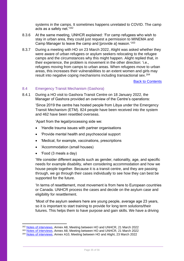systems in the camps. It sometimes happens unrelated to COVID. The camp acts as a safety net.'<sup>162</sup>

- 8.3.6 At the same meeting, UNHCR explained: 'For camp refugees who wish to stay in urban area, they could just request a permission to MINEMA and Camp Manager to leave the camp and [provide a] reason.'<sup>163</sup>
- 8.3.7 During a meeting with HO on 23 March 2022, Alight was asked whether they were aware of urban refugees or asylum seekers relocating to the refugee camps and the circumstances why this might happen. Alight replied that, in their experience, the problem is movement in the other direction: 'i.e., refugees moving from camps to urban areas. When refugees move to urban areas, this increases their vulnerabilities to an extent women and girls may result into negative coping mechanisms including transactional sex. 164

[Back to Contents](#page-3-0)

#### <span id="page-34-0"></span>8.4 Emergency Transit Mechanism (Gashora)

8.4.1 During a HO visit to Gashora Transit Centre on 18 January 2022, the Manager of Gashora provided an overview of the Centre's operations:

> 'Since 2019 the centre has hosted people from Libya under the Emergency Transit Mechanism (ETM). 824 people have been received into the system and 462 have been resettled overseas.

'Apart from the legal/processing side we:

- 'Handle trauma issues with partner organisations
- 'Provide mental health and psychosocial support
- 'Medical, for example, vaccinations, prescriptions
- 'Accommodation (small houses)
- 'Food (3 meals a day)

'We consider different aspects such as gender, nationality, age, and specific needs for example disability, when considering accommodation and how we house people together. Because it is a transit centre, and they are passing through, we go through their cases individually to see how they can best be supported for the future.

'In terms of resettlement, most movement is from here to European countries or Canada. UNHCR process the cases and decide on the asylum case and eligibility for resettlement.

'Most of the asylum seekers here are young people, average age 23 years, so it is important to start training to provide for long term solutions/their futures. This helps them to have purpose and gain skills. We have a driving

<sup>162</sup> [Notes of interviews,](https://www.gov.uk/government/publications/rwanda-country-policy-and-information-notes) Annex A8, Meeting between HO and UNHCR, 21 March 2022

<sup>163</sup> [Notes of interviews,](https://www.gov.uk/government/publications/rwanda-country-policy-and-information-notes) Annex A8, Meeting between HO and UNHCR, 21 March 2022

<sup>164</sup> [Notes of interviews,](https://www.gov.uk/government/publications/rwanda-country-policy-and-information-notes) Annex A10, Meeting between HO and Alight, 23 March 2022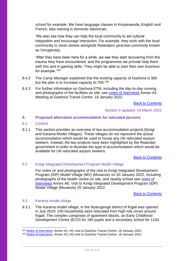school for example. We have language classes in Kinyarwanda, English and French, also training in domestic electricals.

'We also see how they can help the local community to aid cultural integration and encourage interaction. For example, they work with the local community to clean streets alongside Rwandans (practise commonly known as Umuganda).

'After they have been here for a while, we see they start recovering from the trauma they have encountered, and the programmes we provide help them with this and in gaining skills. They might be able to start their own business for example.'<sup>165</sup>

- 8.4.2 The Camp Manager explained that the existing capacity of Gashora is 380 but the plan is to increase capacity to 700.<sup>166</sup>
- 8.4.3 For further information on Gashora ETM, including the day-to-day running and photographs of the facilities on site, see [notes of interviews](https://www.gov.uk/government/publications/rwanda-country-policy-and-information-notes) Annex A2. Meeting at Gashora Transit Centre, 18 January 2022.

[Back to Contents](#page-3-0)

#### Section 9 updated: 24 March 2022

## <span id="page-35-0"></span>**9. Proposed alternative accommodation for relocated persons**

#### <span id="page-35-1"></span>9.1 Context

9.1.1 This section provides an overview of two accommodation projects (Kinigi and Karama Model Villages). These villages do not represent the actual accommodation which would be used to house any UK-relocated asylum seekers. Instead, the two projects have been highlighted by the Rwandan government in order to illustrate the type of accommodation which would be available for UK-relocated asylum seekers.

**[Back to Contents](#page-3-0)** 

## <span id="page-35-2"></span>9.2 Kinigi Integrated Development Program Model Village

For notes on and photographs of the visit to Kinigi Integrated Development Program (IDP) Model Village (MV) (Musanze) on 20 January 2022, including photographs of the health centre on site, and nearby school see [notes of](https://www.gov.uk/government/publications/rwanda-country-policy-and-information-notes)  [interviews](https://www.gov.uk/government/publications/rwanda-country-policy-and-information-notes) Annex A6. Visit to Kinigi Integrated Development Program (IDP) Model Village (Musanze) 20 January 2022.

[Back to Contents](#page-3-0)

#### <span id="page-35-3"></span>9.3 Karama model village

9.3.1 The Karama model village, in the Nyarugenge district of Kigali was opened in July 2019. 240 households were relocated from high-risk zones around Kigali. The complex comprises of apartment blocks, an Early Childhood Development Centre (ECD) for 180 pupils and a secondary school for 1104

<sup>165</sup> [Notes of interviews,](https://www.gov.uk/government/publications/rwanda-country-policy-and-information-notes) Annex A2, HO visit to Gashora Transit Centre, 18 January 2022

<sup>166</sup> [Notes of interviews,](https://www.gov.uk/government/publications/rwanda-country-policy-and-information-notes) Annex A2, HO visit to Gashora Transit Centre, 18 January 2022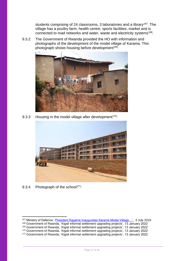students comprising of 24 classrooms, 3 laboratories and a library<sup>167</sup>. The village has a poultry farm, health centre, sports facilities, market and is connected to road networks and water, waste and electricity systems<sup>168</sup>.

9.3.2 The Government of Rwanda provided the HO with information and photographs of the development of the model village of Karama. This photograph shows housing before development<sup>169</sup>:



9.3.3 Housing in the model village after development<sup>170</sup>:



9.3.4 Photograph of the school $171$ :

<sup>167</sup> Ministry of Defence, ['President Kagame Inaugurates Karama Model Village …',](https://www.mod.gov.rw/news-detail/president-kagame-inaugurates-karama-model-village-to-mark-liberation-day?tx_news_pi1%5B%40widget_0%5D%5BcurrentPage%5D=29&cHash=2ac6479ad620ab108a74a5b13e38b5d2) 3 July 2019

<sup>168</sup> Government of Rwanda, 'Kigali informal settlement upgrading projects', 13 January 2022

<sup>169</sup> Government of Rwanda, 'Kigali informal settlement upgrading projects', 13 January 2022

<sup>170</sup> Government of Rwanda, 'Kigali informal settlement upgrading projects', 13 January 2022

<sup>171</sup> Government of Rwanda, 'Kigali informal settlement upgrading projects', 13 January 2022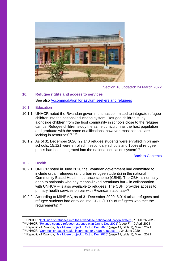

## Section 10 updated: 24 March 2022

## <span id="page-37-0"></span>**10. Refugee rights and access to services**

See also [Accommodation for asylum seekers and refugees](#page-31-0)

- <span id="page-37-1"></span>10.1 Education
- 10.1.1 UNHCR noted the Rwandan government has committed to integrate refugee children into the national education system. Refugee children study alongside children from the host community in schools close to the refugee camps. Refugee children study the same curriculum as the host population and graduate with the same qualifications, however, most schools are lacking in resources<sup>172</sup><sup>173</sup>.
- 10.1.2 As of 31 December 2020, 29,140 refugee students were enrolled in primary schools, 15,121 were enrolled in secondary schools and 100% of refugee pupils had been integrated into the national education system<sup>174</sup>.

[Back to Contents](#page-3-0)

## <span id="page-37-2"></span>10.2 Health

- 10.2.1 UNHCR noted in June 2020 the Rwandan government had committed to include urban refugees (and urban refugee students) in the national Community Based Health Insurance scheme (CBHI). The CBHI is normally open to nationals who pay means-linked premiums but – in collaboration with UNHCR – is also available to refugees. The CBHI provides access to primary health services on par with Rwandan nationals<sup>175</sup>.
- 10.2.2 According to MINEMA, as of 31 December 2020, 8,014 urban refugees and refugee students had enrolled into CBHI (100% of refugees who met the requirements)<sup>176</sup>.

<sup>172</sup> UNHCR, ['Inclusion of refugees into the Rwandese national education system'](https://globalcompactrefugees.org/article/inclusion-refugees-rwandese-national-education-system), 18 March 2020

<sup>173</sup> UNHCR, ['Rwanda country refugee response plan Jan to Dec 2021'](https://reporting.unhcr.org/sites/default/files/2021%20Rwanda%20Country%20Refugee%20Response%20Plan.pdf) (page 7), 19 April 2021

<sup>174</sup> Republic of Rwanda, ['Jya Mbere project… Oct to Dec 2020'](https://www.minema.gov.rw/fileadmin/user_upload/Minema/Publications/Reports/Jya_Mbere_project_Quarter_two_2020-2021_Report.pdf) (page 11, table 1), March 2021

<sup>175</sup> UNHCR, ['Community-based health insurance for urban refugees …'](https://globalcompactrefugees.org/article/community-based-health-insurance-urban-refugees-and-refugee-students-rwanda), 24 June 2020

<sup>176</sup> Republic of Rwanda, 'Jya Mbere project... Oct to Dec 2020' (page 11, table 1), March 2021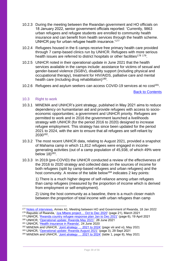- 10.2.3 During the meeting between the Rwandan government and HO officials on 18 January 2022, senior government officials reported: 'Currently, 9863 urban refugees and refugee students are enrolled to community health insurance and can benefit from health services through the health scheme. UNHCR pay for urban refugee health insurance.'<sup>177</sup>
- 10.2.4 Refugees housed in the 6 camps receive free primary health care provided through 7 camp-based clinics run by UNHCR. Refugees with more serious health issues are referred to district hospitals or other facilities<sup>178 179</sup>.
- 10.2.5 UNHCR noted in their operational update in June 2021 that the health services available in the camps include: assistance for victims of sexual and gender-based violence (SGBV), disability support (including physical and occupational therapy), treatment for HIV/AIDS, palliative care and mental health care (including drug rehabilitation)<sup>180</sup>.
- 10.2.6 Refugees and asylum seekers can access COVID-19 services at no cost<sup>181</sup>.

[Back to Contents](#page-3-0)

## <span id="page-38-0"></span>10.3 Right to work

- 10.3.1 MINEMA and UNHCR's joint strategy, published in May 2021 aims to reduce dependency on humanitarian aid and provide refugees with access to socioeconomic opportunities; a government and UNHCR priority. Refugees are permitted to work and in 2016 the government launched a livelihoods strategy with UNHCR (for the period 2016 to 2020) designed to increase refugee employment. This strategy has since been updated for the period 2021 to 2024, with the aim to ensure that all refugees are self-reliant by 2030<sup>182</sup> .
- 10.3.2 The most recent UNHCR data, relating to August 2021, provided a snapshot of Mahama camp in which 11,812 refugees were engaged in incomegenerating activities (out of a camp population of 45,938, of which 49% were below  $18)$ <sup>183</sup>.
- 10.3.3 In 2019 (pre-COVID) the UNHCR conducted a review of the effectiveness of the 2016 to 2020 strategy and collected data on the sources of income for both refugees (split by camp-based refugees and urban refugees) and the host community. A review of the table below<sup>184</sup> indicates 2 key points:

1) There is a much higher degree of self-reliance among urban refugees than camp refugees (measured by the proportion of income which is derived from employment or self-employment).

2) Using the host community as a baseline, there is a much closer match between the proportion of total income with urban refugees than camp

<sup>180</sup> UNHCR, ['Operational update: Rwanda May 2021',](https://data2.unhcr.org/en/documents/details/87473) 26 June 2021

<sup>177</sup> [Notes of interviews,](https://www.gov.uk/government/publications/rwanda-country-policy-and-information-notes) Annex A1, Meeting between HO and Government of Rwanda, 18 Jan 2022 <sup>178</sup> Republic of Rwanda, ['Jya Mbere project… Oct to Dec 2020'](https://www.minema.gov.rw/fileadmin/user_upload/Minema/Publications/Reports/Jya_Mbere_project_Quarter_two_2020-2021_Report.pdf) (page 21), March 2021

<sup>179</sup> UNHCR, ['Rwanda country refugee response plan Jan to Dec 2021'](https://reporting.unhcr.org/sites/default/files/2021%20Rwanda%20Country%20Refugee%20Response%20Plan.pdf) (page 6), 19 April 2021

<sup>181</sup> UNHCR, ['Health insurance in Rwanda',](https://globalcompactrefugees.org/article/health-insurance-rwanda-covid-19-response-accessible-nationals-and-refugees-alike) 24 June 2020

<sup>182</sup> MINEMA and UNHCR, 'Joint strategy ... 2021 to 2024' (page viii and xi), May 2021

<sup>183</sup> UNHCR, ['Operational update: Rwanda August 2021'](https://data2.unhcr.org/en/documents/details/88912) (page 3), 29 Sept 2021

<sup>184</sup> MINEMA and UNHCR, ['Joint strategy … 2021 to 2024'](https://www.minema.gov.rw/fileadmin/user_upload/Minema/Publications/Ministry_Projects_Documents/JOINT_STRATEGY_ON_ECONOMIC_INCLUSION_OF_REFUGEES_AND_HOST_COMMUNITIES_2021-2024.pdf) (table 1, page 8), May 2021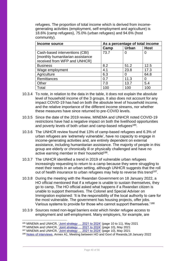refugees. The proportion of total income which is derived from incomegenerating activities (employment, self-employment and agriculture) is 18.6% (camp refugees), 75.0% (urban refugees) and 94.6% (host community).

| Income source                    | As a percentage of total income |              |             |  |
|----------------------------------|---------------------------------|--------------|-------------|--|
|                                  | Camp                            | <b>Urban</b> | <b>Host</b> |  |
| Cash-based interventions (CBI)   | 73.7                            | 0            | 0           |  |
| [monthly humanitarian assistance |                                 |              |             |  |
| received from WFP and UNHCR]     |                                 |              |             |  |
| <b>Business</b>                  | 8.2                             | 51.2         | 12.5        |  |
| Wage employment                  | 4.1                             | 23.8         | 17.3        |  |
| Agriculture                      | 6.3                             |              | 64.8        |  |
| Remittances                      | 0.7                             | 11.3         | 0           |  |
| Other                            | 7.0                             | 13.7         | 5.4         |  |
| Total                            | 100                             | 100          | 100         |  |

- 10.3.4 To note, in relation to the data in the table, it does not explain the absolute level of household income of the 3 groups. It also does not account for any impact COVID-19 has had on both the absolute level of household income, and the relative importance of the different income streams, nor whether these measures have since returned to pre-COVID levels.
- 10.3.5 Since the date of the 2019 review, MINEMA and UNHCR noted COVID-19 restrictions have had a negative impact on both the livelihood opportunities and poverty levels of both urban and camp-based refugees<sup>185</sup>.
- 10.3.6 The UNHCR review found that 13% of camp-based refugees and 6.3% of urban refugees are 'extremely vulnerable', have no capacity to engage in income-generating activities and, are entirely dependent on external assistance, including humanitarian assistance. The majority of people in this group are elderly or chronically ill or physically challenged and have no active earning member in their household<sup>186</sup>.
- 10.3.7 The UNHCR identified a trend in 2019 of vulnerable urban refugees increasingly requesting to return to a camp because they were struggling to meet their needs in an urban setting, although UNHCR suggests that the roll out of health insurance to urban refugees may help to reverse this trend<sup>187</sup>.
- 10.3.8 During the meeting with the Rwandan Government on 18 January 2022, a HO official mentioned that if a refugee is unable to sustain themselves, they go to camp. The HO official asked what happens if a Rwandan citizen is unable to support themselves. The Colonel and Special Adviser on Immigration explained: 'It is the responsibility of the local authority to care for the most vulnerable. The government has housing projects, offer jobs. Various systems to provide for those who cannot support themselves.'<sup>188</sup>
- 10.3.9 Sources noted non-legal barriers exist which hinder refugee access to employment and self-employment. Many employers, for example, are

<sup>185</sup> MINEMA and UNHCR, 'Joint strategy ... 2021 to 2024' (page 10 to 11), May 2021

<sup>186</sup> MINEMA and UNHCR, Upint strategy ... 2021 to 2024' (page 10), May 2021

<sup>187</sup> MINEMA and UNHCR, *Joint strategy ... 2021 to 2024'* (page 10), May 2021

<sup>188</sup> [Notes of interviews,](https://www.gov.uk/government/publications/rwanda-country-policy-and-information-notes) Annex A1, Meeting between HO and Govt of Rwanda,18 January 2022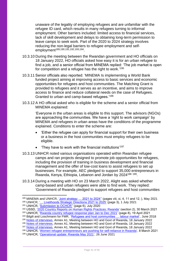unaware of the legality of employing refugees and are unfamiliar with the refugee ID card, which results in many refugees turning to informal employment. Other barriers included: limited access to financial services, lack of skill development and delays to obtaining long-term permission to leave camps to seek work. Part of the 2020 to 2024 strategy involves reducing the non-legal barriers to refugee employment and selfemployment<sup>189,190,191,192,193,194</sup>.

- 10.3.10 During the meeting between the Rwandan government and HO officials on 18 January 2022, HO officials asked how easy it is for an urban refugee to find a job, and a senior official from MINEMA replied: 'The job market is open for competition and a refugee has the right to work.'<sup>195</sup>
- 10.3.11 Senior officials also reported: 'MINEMA Is implementing a World Bank funded project aiming at improving access to basic services and economic opportunities for refugees and host communities. The Matching Grant is provided to refugees and it serves as an incentive, and aims to improve access to finance and reduce collateral needs on the case of Refugees. Granted to urban and camp-based refugees.'<sup>196</sup>
- 10.3.12 A HO official asked who is eligible for the scheme and a senior official from MINEMA explained:

'Everyone in the urban areas is eligible to this support. The advisors (NGOs) are approaching the communities. We have a 'right to work campaign' by MINEMA and refugees in urban areas have the conditions of the programme explained. Conditions to enter the scheme are:

- 'Either the refugee can apply for financial support for their own business or a business in the host communities must employ refugees to be eligible.
- 'They have to work with the financial institutions'<sup>197</sup>
- 10.3.13 UNHCR noted various organisations operated within Rwandan refugee camps and ran projects designed to promote job opportunities for refugees, including the provision of training in business development and financial management and the offer of low-cost loans to assist refugees to set up businesses. For example, AEC pledged to support 35,000 entrepreneurs in Rwanda, Kenya, Ethiopia, Lebanon and Jordan by 2024<sup>198 199</sup>.
- 10.3.14 During a meeting with HO on 23 March 2022, Alight was asked whether camp-based and urban refugees were able to find work. They replied: 'Government of Rwanda pledged to support refugees and host communities

<sup>189</sup> MINEMA and UNHCR, 'Joint strategy ... 2021 to 2024'' (pages viii, xi, 4, 11 and 12, ), May 2021

<sup>190</sup> UNHCR, ['… Livelihoods Strategic Directions 2021 to 2025'](https://data2.unhcr.org/en/documents/details/87949) (page 3), 1 July 2021

<sup>191</sup> UNHCR, ['Submission to OCHCR''](https://www.refworld.org/type,COUNTRYREP,UNHCR,RWA,607763c64,0.html) (page 6), July 2020

<sup>192</sup> USSD, ['2020 Country Reports on Human Rights Practices: Rwanda'](https://www.state.gov/reports/2020-country-reports-on-human-rights-practices/rwanda/) (section 2), 30 March 2021

<sup>193</sup> UNHCR, ['Rwanda country refugee response plan Jan to Dec 2021'](https://reporting.unhcr.org/sites/default/files/2021%20Rwanda%20Country%20Refugee%20Response%20Plan.pdf) (page 8), 19 April 2021

<sup>194</sup> Bilgili and Loschmann for FMR, ['Refugees and host communities … labour market'](https://www.fmreview.org/economies/bilgili-loschmann), June 2018

<sup>195</sup> [Notes of interviews,](https://www.gov.uk/government/publications/rwanda-country-policy-and-information-notes) Annex A1, Meeting between HO and Govt of Rwanda, 18 January 2022

<sup>196</sup> [Notes of interviews,](https://www.gov.uk/government/publications/rwanda-country-policy-and-information-notes) Annex A1, Meeting between HO and Govt of Rwanda, 18 January 2022 <sup>197</sup> [Notes of interviews,](https://www.gov.uk/government/publications/rwanda-country-policy-and-information-notes) Annex A1, Meeting between HO and Govt of Rwanda, 18 January 2022

<sup>198</sup> UNHCR, ['Women refugee entrepreneurs are pushing for self-reliance in Rwanda'](https://globalcompactrefugees.org/article/women-refugee-entrepreneurs-are-pushing-self-reliance-rwanda), 8 March 2021

<sup>199</sup> UNHCR, ['Operational update: Rwanda May 2021',](https://data2.unhcr.org/en/documents/details/87473) 26 June 2021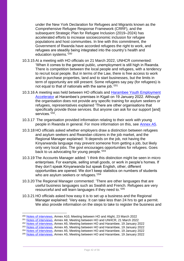under the New York Declaration for Refugees and Migrants known as the Comprehensive Refugee Response Framework (CRRF), and the subsequent Strategic Plan for Refugee Inclusion (2019–2024) has accelerated efforts to increase socioeconomic inclusion for refugee populations and host communities. In line with this commitment, the Government of Rwanda have accorded refugees the right to work, and refugees are steadily being integrated into the country's health and education systems.'200

- 10.3.15 At a meeting with HO officials on 21 March 2022, UNHCR commented: 'When it comes to the general public, unemployment is still high in Rwanda. There is competition between the local people and refugees, with a tendency to recruit local people. But in terms of the Law, there is free access to work and to purchase properties, land and to start businesses, but the limits in term of opportunity are still present. Some refugees say pay (for refugees) is not equal to that of nationals with the same job.'<sup>201</sup>
- 10.3.16 A meeting was held between HO officials and [Harambee Youth Employment](https://www.harambee.rw/about/)  [Accelerator](https://www.harambee.rw/about/) at Harambee's premises in Kigali on 19 January 2022. Although the organisation does not provide any specific training for asylum seekers or refugees, representatives explained 'There are other organisations that specifically provide those services. But anyone can ask for our support [and] services.'<sup>202</sup>.
- 10.3.17 The organisation provided information relating to their work with young people in Rwanda in general. For more information on this, see Annex A5.
- 10.3.18 HO officials asked whether employers draw a distinction between refugees and asylum seekers and Rwandan citizens in the job market, and the Regional Manager explained: 'It depends on the job, not having the Kinyarwanda language may prevent someone from getting a job, but likely only very local jobs. The govt encourages opportunities for refugees. Goes back to us advocating for young people.<sup>'203</sup>
- 10.3.19 The Accounts Manager added: 'I think this distinction might be seen in micro enterprises. For example, selling small goods, or work in people's homes. If they don't speak Kinyarwanda but speak English, other, different opportunities are opened. We don't keep statistics on numbers of students who are asylum seekers or refugees.<sup>'204</sup>
- 10.3.20 The Regional Manager commented: 'There are other languages that are useful business languages such as Swahili and French. Refugees are very resourceful and will learn languages if they need to.<sup>'205</sup>
- 10.3.21 HO officials asked how easy it is to set up a business and the Regional Manager explained: 'Very easy. It can take less than 24 hrs to get a permit. We also provide information on the steps to take to register the business and

<sup>&</sup>lt;sup>200</sup> [Notes of interviews,](https://www.gov.uk/government/publications/rwanda-country-policy-and-information-notes) Annex A10, Meeting between HO and Alight, 23 March 2022

<sup>201</sup> [Notes of interviews,](https://www.gov.uk/government/publications/rwanda-country-policy-and-information-notes) Annex A8, Meeting between HO and UNHCR, 21 March 2022

<sup>&</sup>lt;sup>202</sup> [Notes of interviews,](https://www.gov.uk/government/publications/rwanda-country-policy-and-information-notes) Annex A5, Meeting between HO and Harambee, 19 January 2022

<sup>&</sup>lt;sup>203</sup> [Notes of interviews,](https://www.gov.uk/government/publications/rwanda-country-policy-and-information-notes) Annex A5, Meeting between HO and Harambee, 19 January 2022

<sup>204</sup> [Notes of interviews,](https://www.gov.uk/government/publications/rwanda-country-policy-and-information-notes) Annex A5, Meeting between HO and Harambee, 19 January 2022

<sup>205</sup> [Notes of interviews,](https://www.gov.uk/government/publications/rwanda-country-policy-and-information-notes) Annex A5, Meeting between HO and Harambee, 19 January 2022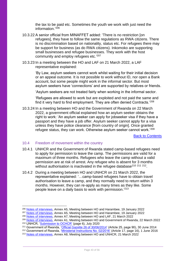the tax to be paid etc. Sometimes the youth we work with just need the information.' 206

- 10.3.22 A senior official from MINAFFET added: 'There is no restriction [on refugees], they have to follow the same regulations as RWA citizens. There is no discrimination based on nationality, status etc. For refugees there may be support for business (as do RWA citizens). Inkomoko are supporting small businesses and refugee businesses. They work with the host community and employ refugees etc.<sup>'207</sup>
- 10.3.23 In a meeting between the HO and LAF on 21 March 2022, a LAF representative explained:

'By Law, asylum seekers cannot work whilst waiting for their initial decision or an appeal outcome. It is not possible to work without ID, nor open a Bank account, but some people might work in the informal sector. But most asylum seekers have 'connections' and are supported by relatives or friends.

'Asylum seekers are not treated fairly when working in the informal sector.

'Refugees are allowed to work but are exploited and not paid the same and find it very hard to find employment. They are often denied Contracts.'<sup>208</sup>

10.3.24 In a meeting between HO and the Government of Rwanda on 22 March 2022, a government official explained how an asylum seeker obtains the right to work: 'An asylum seeker can apply for jobseeker visa if they have a passport and they have a job offer. Asylum seeker cannot apply for a visa unless they have police clearance [from country of origin]. Once granted refugee status, they can work. Otherwise asylum seeker cannot work.'<sup>209</sup>

[Back to Contents](#page-3-0)

#### <span id="page-42-0"></span>10.4 Freedom of movement within the country

- 10.4.1 UNHCR and the Government of Rwanda stated camp-based refugees need to apply for permission to leave the camp. The permissions are valid for a maximum of three months. Refugees who leave the camp without a valid permission are at risk of arrest. Any refugee who is absent for 3 months without authorisation is inactivated in the refugee database<sup>210 211</sup> 212.
- 10.4.2 During a meeting between HO and UNHCR on 21 March 2022, the representative explained: '…camp-based refugees have to obtain travel authorisation to leave a camp, and they normally need to return within 3 months. However, they can re-apply as many times as they like. Some people leave on a daily basis to work with permission.' 213

<sup>206</sup> [Notes of interviews,](https://www.gov.uk/government/publications/rwanda-country-policy-and-information-notes) Annex A5, Meeting between HO and Harambee, 19 January 2022

<sup>&</sup>lt;sup>207</sup> [Notes of interviews,](https://www.gov.uk/government/publications/rwanda-country-policy-and-information-notes) Annex A5, Meeting between HO and Harambee, 19 January 2022

<sup>208</sup> [Notes of interviews,](https://www.gov.uk/government/publications/rwanda-country-policy-and-information-notes) Annex A7, Meeting between HO and LAF, 21 March 2022

<sup>209</sup> [Notes of interviews,](https://www.gov.uk/government/publications/rwanda-country-policy-and-information-notes) Annex A1, Meeting between HO and Government of Rwanda, 22 March 2022 <sup>210</sup> UNHCR, ['Submission to OCHCR'](https://www.refworld.org/type,COUNTRYREP,UNHCR,RWA,607763c64,0.html) (page 6), July 2020

<sup>211</sup> Government of Rwanda, ['Official Gazette 26 of 30/06/2014'](https://www.minema.gov.rw/fileadmin/user_upload/Minema/Publications/Laws_and_Policies/Law_relating_to_refugees.pdf) (Article 25, page 90), 30 June 2014

<sup>212</sup> Government of Rwanda, ['Ministerial Instructions No. 02/2016'](https://www.minema.gov.rw/fileadmin/user_upload/Minema/Publications/Laws_and_Policies/Ministerial_instructions_relating_to_the_management_of_refugees_and_refugee_camps.pdf) (Article 17, page 16), 1 June 2016

<sup>213</sup> [Notes of interviews,](https://www.gov.uk/government/publications/rwanda-country-policy-and-information-notes) Annex A8, Meeting between HO and UNHCR, 21 March 2022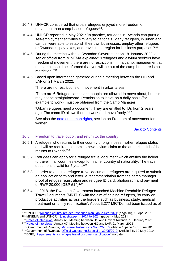- 10.4.3 UNHCR considered that urban refugees enjoyed more freedom of movement than camp-based refugees<sup>214</sup>.
- 10.4.4 UNHCR reported in May 2021: 'In practice, refugees in Rwanda can pursue self-employment activities similarly to nationals. Many refugees, in urban and camps, were able to establish their own businesses, employ other refugees or Rwandans, pay taxes, and travel in the region for business purposes.'<sup>215</sup>
- 10.4.5 During the meeting with the Rwandan Government on 18 January 2022, a senior official from MINEMA explained: 'Refugees and asylum seekers have freedom of movement, there are no restrictions. If in a camp, management at the camp should be informed that you will be out of the camp but there is no restriction.'<sup>216</sup>
- 10.4.6 Based upon information gathered during a meeting between the HO and LAF on 21 March 2022:

'There are no restrictions on movement in urban areas.

'There are 6 Refugee camps and people are allowed to move about, but this may not be straightforward. Permission to leave on a daily basis (for example to work), must be obtained from the Camp Manager.

'Urban refugees need a document. They are entitled to IDs from 2 years ago. The same ID allows them to work and move freely.<sup>'217</sup>

See also the [note on human rights,](https://www.gov.uk/government/publications/rwanda-country-policy-and-information-notes) section on Freedom of movement for women.

#### [Back to Contents](#page-3-0)

#### <span id="page-43-0"></span>10.5 Freedom to travel out of, and return to, the country

- 10.5.1 A refugee who returns to their country of origin loses his/her refugee status and will be required to submit a new asylum claim to the authorities if he/she returns to Rwanda<sup>218</sup>.
- 10.5.2 Refugees can apply for a refugee travel document which entitles the holder to travel in all countries except for his/her country of nationality. The travel document is valid for 5 years<sup>219</sup>.
- 10.5.3 In order to obtain a refugee travel document, refugees are required to submit an application form and letter, a recommendation from the camp manager, proof of refugee registration and refugee ID card, photograph and payment of RWF 20,000 [GBP £14]<sup>220</sup>.
- 10.5.4 In 2018, the Rwandan Government launched Machine Readable Refugee Travel Documents (MRTDs) with the aim of helping refugees, 'to carry on productive activities across the borders such as business, study, medical treatment or family reunification'. About 3,277 MRTDs had been issued as of

<sup>214</sup> UNHCR, ['Rwanda country refugee response plan Jan to Dec 2021'](https://reporting.unhcr.org/sites/default/files/2021%20Rwanda%20Country%20Refugee%20Response%20Plan.pdf) (page 10), 19 April 2021 <sup>215</sup> MINEMA and UNHCR, ' [joint strategy …2021 to 2024'](https://www.minema.gov.rw/fileadmin/user_upload/Minema/Publications/Ministry_Projects_Documents/JOINT_STRATEGY_ON_ECONOMIC_INCLUSION_OF_REFUGEES_AND_HOST_COMMUNITIES_2021-2024.pdf) (page 4), May 2021

<sup>216</sup> [Notes of interviews,](https://www.gov.uk/government/publications/rwanda-country-policy-and-information-notes) Annex A1, Meeting between HO and Govt of Rwanda, 18 January 2022

<sup>&</sup>lt;sup>217</sup> [Notes of interviews,](https://www.gov.uk/government/publications/rwanda-country-policy-and-information-notes) Annex A7, Meeting between HO and LAF, 21 March 2022

<sup>218</sup> Government of Rwanda, ['Ministerial Instructions No. 02/2016'](https://www.minema.gov.rw/fileadmin/user_upload/Minema/Publications/Laws_and_Policies/Ministerial_instructions_relating_to_the_management_of_refugees_and_refugee_camps.pdf) (Article 4, page 6), 1 June 2016

<sup>&</sup>lt;sup>219</sup> Government of Rwanda, 'Official Gazette no. Special of 30/05/2019' (Article 34), 30 May 2019

<sup>&</sup>lt;sup>220</sup> DGIE, ['Requirements for refugee travel document application',](https://www.migration.gov.rw/our-services/refugee/) no date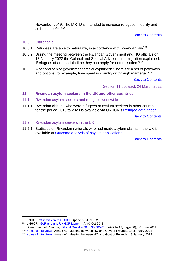November 2019. The MRTD is intended to increase refugees' mobility and self-reliance<sup>221</sup> <sup>222</sup>.

#### [Back to Contents](#page-3-0)

#### <span id="page-44-0"></span>10.6 Citizenship

- 10.6.1 Refugees are able to naturalize, in accordance with Rwandan law<sup>223</sup>.
- 10.6.2 During the meeting between the Rwandan Government and HO officials on 18 January 2022 the Colonel and Special Advisor on immigration explained: 'Refugees after a certain time they can apply for naturalisation.'<sup>224</sup>
- 10.6.3 A second senior government official explained: 'There are a set of pathways and options, for example, time spent in country or through marriage.<sup>'225</sup>

[Back to Contents](#page-3-0)

Section 11 updated: 24 March 2022

## <span id="page-44-1"></span>**11. Rwandan asylum seekers in the UK and other countries**

- <span id="page-44-2"></span>11.1 Rwandan asylum seekers and refugees worldwide
- 11.1.1 Rwandan citizens who were refugees or asylum seekers in other countries for the period 2016 to 2020 is available via UNHCR's [Refugee data finder.](https://www.unhcr.org/refugee-statistics/download/?url=E1ZxP4)

[Back to Contents](#page-3-0)

- <span id="page-44-3"></span>11.2 Rwandan asylum seekers in the UK
- 11.2.1 Statistics on Rwandan nationals who had made asylum claims in the UK is available at **Outcome analysis of asylum applications**.

[Back to Contents](#page-3-0)

<sup>224</sup> [Notes of interviews,](https://www.gov.uk/government/publications/rwanda-country-policy-and-information-notes) Annex A1, Meeting between HO and Govt of Rwanda, 18 January 2022

<sup>221</sup> UNHCR, ['Submission to OCHCR'](https://www.refworld.org/type,COUNTRYREP,UNHCR,RWA,607763c64,0.html) (page 6), July 2020

<sup>&</sup>lt;sup>222</sup> UNHCR, '<u>GoR and and UNHCR launch …</u>', 10 Oct 2018

<sup>&</sup>lt;sup>223</sup> Government of Rwanda, ['Official Gazette 26 of 30/06/2014'](https://www.minema.gov.rw/fileadmin/user_upload/Minema/Publications/Laws_and_Policies/Law_relating_to_refugees.pdf) (Article 19, page 88), 30 June 2014

<sup>&</sup>lt;sup>225</sup> [Notes of interviews,](https://www.gov.uk/government/publications/rwanda-country-policy-and-information-notes) Annex A1, Meeting between HO and Govt of Rwanda, 18 January 2022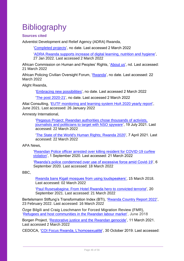# <span id="page-45-0"></span>**Bibliography**

## <span id="page-45-1"></span>**Sources cited**

Adventist Development and Relief Agency (ADRA) Rwanda,

['Completed projects'](https://adra-rwanda.org/our-projects/completed-projects/), no date. Last accessed 2 March 2022

['ADRA Rwanda supports increase of digital learning, nutrition and hygiene'](https://adventistreview.org/release/adra-rwanda-supports-increase-of-digital-learning-nutrition-and-hygiene/), 27 Jan 2022. Last accessed 2 March 2022

African Commission on Human and Peoples' Rights, ['About us'](https://www.achpr.org/aboutus), nd. Last accessed: 21 March 2022

African Policing Civilian Oversight Forum, ['Rwanda'](https://apcof.org/country-data/rwanda/), no date. Last accessed: 22 March 2022

Alight Rwanda,

['Embracing new possibilities'](https://wearealight.org/our-work/rwanda/), no date. Last accessed 2 March 2022

['The post 2020-21'](https://wearealight.org/wp-content/uploads/2021/02/Rwanda-Post-2020-2021.pdf), no date. Last accessed 2 March 2022

Altai Consulting, ['EUTF monitoring and learning system HoA 2020 yearly report'](https://ec.europa.eu/trustfundforafrica/sites/default/files/eutf_hoa_yearly_2020_report.pdf), June 2021. Last accessed: 26 January 2022

Amnesty International,

['Pegasus Project: Rwandan authorities chose thousands of activists,](https://www.amnesty.org/en/latest/news/2021/07/rwandan-authorities-chose-thousands-of-activists-journalists-and-politicians-to-target-with-nso-spyware/)  [journalists and politicians to target with NSO spyware'](https://www.amnesty.org/en/latest/news/2021/07/rwandan-authorities-chose-thousands-of-activists-journalists-and-politicians-to-target-with-nso-spyware/), 19 July 2021. Last accessed: 22 March 2022

['The State of the World's Human Rights; Rwanda 2020'](https://www.amnesty.org/en/location/africa/east-africa-the-horn-and-great-lakes/rwanda/), 7 April 2021. Last accessed: 22 March 2022

APA News,

['Rwandan Police officer arrested over killing resident for COVID-19 curfew](http://apanews.net/en/pays/rwanda/news/rwandan-police-officer-arrested-over-killing-resident-for-covid-19-curfew-violation)  [violation'](http://apanews.net/en/pays/rwanda/news/rwandan-police-officer-arrested-over-killing-resident-for-covid-19-curfew-violation), 1 September 2020. Last accessed: 21 March 2022

['Rwanda's police condemned over use of excessive force amid Covid-19'](http://www.apanews.net/en/news/rwandas-police-condemned-over-use-of-excessive-force-amid-covid-19), 6 September 2020. Last accessed: 18 March 2022

BBC.

[Rwanda bans Kigali mosques from using loudspeakers',](https://www.bbc.co.uk/news/world-africa-43413645) 15 March 2018. Last accessed: 02 March 2022

['Paul Rusesabagina: From Hotel Rwanda hero to convicted terrorist'](https://www.bbc.co.uk/news/world-africa-58604468), 20 September 2021. Last accessed: 21 March 2022

Bertelsmann Stiftung's Transformation Index (BTI), ['Rwanda Country Report 2022'](https://bti-project.org/en/reports/country-report/RWA), 23 February 2022. Last accessed: 16 March 2022

Özge Bilgili and Craig Loschmann for Forced Migration Review (FMR), ['Refugees and host communities in the Rwandan labour market'](https://www.fmreview.org/economies/bilgili-loschmann), June 2018

Borgen Project, ['Restorative justice and the Rwandan genocide'](https://borgenproject.org/tag/prison-fellowship-rwanda/), 11 March 2021. Last accessed 2 March 2022

CEDOCA, ['COI Focus Rwanda, L'homosexualité'](https://www.cgrs.be/en/country-information/lhomosexualite-1), 30 October 2019. Last accessed: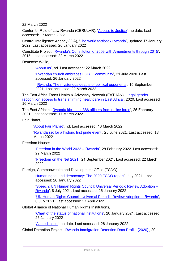22 March 2022

Center for Rule of Law Rwanda (CERULAR), ['Access to Justice'](https://cerular.org/programs/access-to-justice/), no date. Last accessed: 17 March 2022

Central Intelligence Agency (CIA), ['The world factbook Rwanda'](https://www.cia.gov/the-world-factbook/countries/rwanda/#people-and-society), updated 17 January 2022. Last accessed: 26 January 2022

Constitute Project, ['Rwanda's Constitution of 2003 with Amendments through 2015'](https://www.constituteproject.org/constitution/Rwanda_2015?lang=en), 2015. Last accessed: 22 March 2022

Deutsche Welle,

['About us'](https://www.dw.com/en/about-dw/s-30688), nd. Last accessed: 22 March 2022

['Rwandan church embraces LGBT+ community'](https://www.dw.com/en/rwandan-church-embraces-lgbt-community/a-54255922), 21 July 2020. Last accessed: 26 January 2022

['Rwanda: The mysterious deaths of political opponents'](https://www.dw.com/en/rwanda-the-mysterious-deaths-of-political-opponents/a-59182275), 15 September 2021. Last accessed: 22 March 2022

The East Africa Trans Health & Advocacy Network (EATHAN), ['Legal gender](https://eathan.org/eathan-lgr-report/)  [recognition access to trans affirming healthcare in East Africa',](https://eathan.org/eathan-lgr-report/) 2020. Last accessed: 16 March 2022

The East African, ['Rwanda kicks out 386 officers from police force'](https://www.theeastafrican.co.ke/tea/news/east-africa/rwanda-kicks-out-386-officers-from-police-force-3303188), 25 February 2021. Last accessed: 17 March 2022

Fair Planet,

['About Fair Planet'](https://www.fairplanet.org/about-fairplanet/), nd. Last accessed: 18 March 2022

['Rwanda set for a historic first pride event'](https://www.fairplanet.org/story/rwanda-set-for-a-historic-first-pride-event/#:~:text=Despite%20Rwanda%20having%20jettisoned%20a%20provision%20in%20the,discrimination%20and%20stigma%20from%20family%20and%20community%20members.), 25 June 2021. Last accessed: 18 March 2022

Freedom House:

['Freedom in the World 2022 –](https://freedomhouse.org/country/rwanda/freedom-world/2022) Rwanda', 28 February 2022. Last accessed: 22 March 2022

['Freedom on the Net 2021'](https://freedomhouse.org/country/rwanda/freedom-net/2021), 21 September 2021. Last accessed: 22 March 2022

Foreign, Commonwealth and Development Office (FCDO),

[Human rights and democracy: The 2020 FCDO report'](https://assets.publishing.service.gov.uk/government/uploads/system/uploads/attachment_data/file/999607/Human_Rights_and_Democracy_the_2020_Foreign__Commonwealth___Development_Office_report.pdf), July 2021. Last accessed: 26 January 2022

['Speech: UN Human Rights Council: Universal Periodic Review Adoption –](https://www.gov.uk/government/speeches/un-human-rights-council-universal-periodic-review-adoption-rwanda) [Rwanda'](https://www.gov.uk/government/speeches/un-human-rights-council-universal-periodic-review-adoption-rwanda), 8 July 2021. Last accessed: 26 January 2022

['UN Human Rights Council: Universal Periodic Review Adoption –](https://www.gov.uk/government/speeches/un-human-rights-council-universal-periodic-review-adoption-rwanda) Rwanda', 8 July 2021. Last accessed: 27 April 2022

Global Alliance of National Human Rights Institutions,

['Chart of the status of national institutions'](https://ganhri.org/wp-content/uploads/2021/01/Status-Accreditation-Chart-as-of-20-01-2021.pdf), 20 January 2021. Last accessed: 26 January 2022

['Accreditation'](https://ganhri.org/accreditation/), no date. Last accessed: 26 January 2022

Global Detention Project, ['Rwanda Immigration Detention Data Profile \(2020\)'](https://www.globaldetentionproject.org/rwanda-immigration-detention-data-profile-2020), 20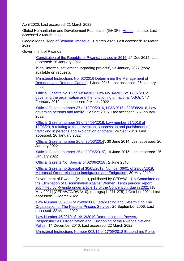April 2020. Last accessed: 21 March 2022

Global Humanitarian and Development Foundation (GHDF), ['Home'](https://ghdf.org.rw/), no date. Last accessed 2 March 2022

Google Maps, ['Map of Rwanda +mosque'](https://www.google.co.uk/maps/search/mosque/@-2.3759604,29.6523631,8.83z/data=!4m2!2m1!6e1), 1 March 2022. Last accessed: 02 March 2022

Government of Rwanda,

['Constitution of the Republic of Rwanda revised in 2015'](https://www.refworld.org/docid/5ebc184e4.html) 24 Dec 2015. Last accessed: 26 January 2022

'Kigali informal settlement upgrading projects', 13 January 2022 (copy available on request).

['Ministerial Instructions No. 02/2016 Determining the Management of](https://www.minema.gov.rw/fileadmin/user_upload/Minema/Publications/Laws_and_Policies/Ministerial_instructions_relating_to_the_management_of_refugees_and_refugee_camps.pdf)  [Refugees and Refugee Camps'](https://www.minema.gov.rw/fileadmin/user_upload/Minema/Publications/Laws_and_Policies/Ministerial_instructions_relating_to_the_management_of_refugees_and_refugee_camps.pdf), 1 June 2016. Last accessed: 26 January 2022

['Official Gazette No.15 of 09/04/2012 Law No.04/2012 of 17/02/2012](https://www.rgb.rw/1/civil-society-faith-based-and-political-organisations/non-governmental-organisations)  [governing the organisation and the functioning of national NGOs '](https://www.rgb.rw/1/civil-society-faith-based-and-political-organisations/non-governmental-organisations), 17 February 2012. Last accessed 2 March 2022

['Official Gazette number 37 of 12/09/2016, Nº32/2016 of 28/08/2016, Law](https://www.migeprof.gov.rw/fileadmin/user_upload/Migeprof/Laws/Law_Governing_persons_and_family_dated_28-08-2016.pdf)  [governing persons and family'](https://www.migeprof.gov.rw/fileadmin/user_upload/Migeprof/Laws/Law_Governing_persons_and_family_dated_28-08-2016.pdf), 12 Sept 2016. Last accessed: 26 January 2022

['Official Gazette number 39 of 24/09/2018, Law number 51/2018 of](https://www.ilo.org/dyn/natlex/docs/ELECTRONIC/107715/132751/F-2051707221/RWA-107715.pdf)  [13/08/2018 relating to the prevention, suppression and punishment of](https://www.ilo.org/dyn/natlex/docs/ELECTRONIC/107715/132751/F-2051707221/RWA-107715.pdf)  [trafficking in persons and exploitation of others'](https://www.ilo.org/dyn/natlex/docs/ELECTRONIC/107715/132751/F-2051707221/RWA-107715.pdf), 24 Sept 2018. Last accessed: 26 January 2022

['Official Gazette number 26 of 30/06/2014'](https://www.minema.gov.rw/fileadmin/user_upload/Minema/Publications/Laws_and_Policies/Law_relating_to_refugees.pdf), 30 June 2014. Last accessed: 26 January 2022

['Official Gazette number 26 of 29/06/2015'](https://www.minema.gov.rw/fileadmin/user_upload/Minema/Publications/Laws_and_Policies/Prime_Minister___s_Order_determining_the_organisation_and_functioning_of_the_National_Refugee_Status_determination_committee_and_benefits_granted_to_its_members.pdf), 19 June 2015. Last accessed: 26 January 2022

['Official Gazette No. Special of 02/06/2018'](https://gazettes.africa/gazettes/rw-government-gazette-dated-2018-06-02-no-special), 2 June 2018

['Official Gazette no.Special of 30/05/2019, Number 06/01 of 29/05/2019,](https://www.migration.gov.rw/fileadmin/templates/pdf_files/ministerial_order_relating_to_immigration.pdf)  [Ministerial Order relating to Immigration and Emigration'](https://www.migration.gov.rw/fileadmin/templates/pdf_files/ministerial_order_relating_to_immigration.pdf), 30 May 2019

Government of Rwanda (Author), published by CEDAW – [UN Committee on](https://tbinternet.ohchr.org/_layouts/15/treatybodyexternal/TBSearch.aspx?Lang=en&TreatyID=3)  [the Elimination of Discrimination Against Women: Tenth periodic report](https://tbinternet.ohchr.org/_layouts/15/treatybodyexternal/TBSearch.aspx?Lang=en&TreatyID=3)  [submitted by Rwanda under article 18 of the Convention, due in 2021](https://tbinternet.ohchr.org/_layouts/15/treatybodyexternal/TBSearch.aspx?Lang=en&TreatyID=3) [18 May 2021] [CEDAW/C/RWA/10], (paragraph 271-275) 4 October 2021. Last accessed: 22 March 2022

['Law Number 38/2006 of 25/09/2006 Establishing and Determining The](https://www.policinglaw.info/assets/downloads/2006_Prisons_Act_(Rwanda).pdf)  [Organisation of The National Prisons Service'](https://www.policinglaw.info/assets/downloads/2006_Prisons_Act_(Rwanda).pdf), 25 September 2006. Last accessed: 22 March 2022

['Law Number 46/2010 of 14/12/2010 Determining the Powers,](https://police.gov.rw/uploads/tx_download/Amategeko.pdf)  [Responsibilities, Organization and Functioning of the Rwanda National](https://police.gov.rw/uploads/tx_download/Amategeko.pdf)  [Police'](https://police.gov.rw/uploads/tx_download/Amategeko.pdf), 14 December 2010. Last accessed: 22 March 2022

['Ministerial Instructions Number 003/12 of 17/09/2012 Establishing Police](https://police.gov.rw/uploads/tx_download/Amategeko.pdf)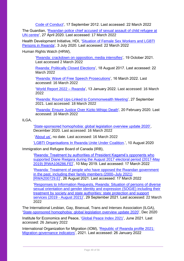[Code of Conduct'](https://police.gov.rw/uploads/tx_download/Amategeko.pdf), 17 September 2012. Last accessed: 22 March 2022

The Guardian, ['Rwandan police chief accused of sexual assault of child refugee at](https://www.theguardian.com/global-development/2020/apr/27/rwandan-police-chief-accused-of-sexual-assault-of-child-refugee-at-un-centre)  [UN centre'](https://www.theguardian.com/global-development/2020/apr/27/rwandan-police-chief-accused-of-sexual-assault-of-child-refugee-at-un-centre), 27 April 2020. Last accessed: 17 March 2022

Health Development Initiative, HDI, ['Situation of Female Sex Workers and LGBTI](https://hdirwanda.org/research/)  [Persons in Rwanda'](https://hdirwanda.org/research/), 3 July 2020. Last accessed: 22 March 2022

Human Rights Watch (HRW),

['Rwanda: crackdown on opposition, media intensifies'](https://www.hrw.org/news/2021/10/19/rwanda-crackdown-opposition-media-intensifies), 19 October 2021. Last accessed 2 March 2022

[Rwanda: Politically Closed Elections'](https://www.hrw.org/news/2017/08/18/rwanda-politically-closed-elections), 18 August 2017. Last accessed: 22 March 2022

['Rwanda: Wave of Free Speech Prosecutions'](https://www.hrw.org/news/2022/03/16/rwanda-wave-free-speech-prosecutions), 16 March 2022. Last accessed: 16 March 2022

['World Report 2022 –](https://www.hrw.org/world-report/2022/country-chapters/rwanda) Rwanda', 13 January 2022. Last accessed: 16 March 2022

['Rwanda: Round Ups-Linked to Commonwealth Meeting'](https://www.hrw.org/news/2021/09/27/rwanda-round-ups-linked-commonwealth-meeting), 27 September 2021. Last accessed: 18 March 2022

['Rwanda: Ensure Justice Over Kizito Mihigo Death'](https://www.hrw.org/news/2020/02/20/rwanda-ensure-justice-over-kizito-mihigo-death), 20 February 2020. Last accessed: 16 March 2022

ILGA,

['State-sponsored homophobia: global legislation overview update 2020',](https://ilga.org/state-sponsored-homophobia-report-2020-global-legislation-overview) December 2020. Last accessed: 16 March 2022

['About us',](https://ilga.org/member-organisations) no date. Last accessed: 16 March 2022

'LGBTI Organisations [In Rwanda Unite Under Coalition.](https://www.kuchutimes.com/2020/08/lgbti-organisations-in-rwanda-unite-under-coalition/)', 10 August 2020

Immigration and Refugee Board of Canada (IRB),

['Rwanda: Treatment by authorities of President Kagamé's opponents who](https://www.ecoi.net/en/document/2010441.html)  [supported Diane Rwigara during the August 2017 electoral period \(2017-May](https://www.ecoi.net/en/document/2010441.html)  [2019\) \[RWA106286.FE\]'](https://www.ecoi.net/en/document/2010441.html), 10 May 2019. Last accessed: 17 March 2022

['Rwanda: Treatment of people who have opposed the Rwandan government](https://www.ecoi.net/en/document/2061337.html)  [in the past, including their family members \(2000–July 2021\)](https://www.ecoi.net/en/document/2061337.html)  [\[RWA200729.E\]'](https://www.ecoi.net/en/document/2061337.html), 26 August 2021. Last accessed: 17 March 2022

['Responses to Information Requests, Rwanda: Situation of persons of diverse](https://www.justice.gov/eoir/page/file/1437281/download?msclkid=d4a83edaa9c311ec9903dc0db1714297)  sexual orientation and gender identity and expression (SOGIE) including their [treatment by society and state authorities: state protection and support](https://www.justice.gov/eoir/page/file/1437281/download?msclkid=d4a83edaa9c311ec9903dc0db1714297)  [services \(2019 -](https://www.justice.gov/eoir/page/file/1437281/download?msclkid=d4a83edaa9c311ec9903dc0db1714297) August 2021)', 29 September 2021. Last accessed: 22 March 2022

The International Lesbian, Gay, Bisexual, Trans and Intersex Association (ILGA), ['State-sponsored homophobia: global legislation overview](https://ilga.org/state-sponsored-homophobia-report-2020-global-legislation-overview) update 2020', Dec 2020

Institute for Economics and Peace, ['Global Peace Index 2021'](https://www.visionofhumanity.org/wp-content/uploads/2021/06/GPI-2021-web-1.pdf), June 2021. Last accessed: 26 January 2022

International Organization for Migration (IOM), ['Republic of Rwanda profile 2021:](https://publications.iom.int/system/files/pdf/MGI-Rwanda-2021.pdf)  [Migration governance indicators'](https://publications.iom.int/system/files/pdf/MGI-Rwanda-2021.pdf), 2021. Last accessed: 26 January 2022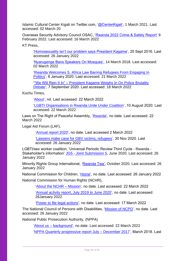Islamic Cultural Center Kigali on Twitter.com, ['@CenterKigali',](https://twitter.com/centerkigali?lang=en) 1 March 2021. Last accessed: 02 March 20

Overseas Security Advisory Council OSAC, ['Rwanda 2022 Crime & Safety Report'](https://www.osac.gov/Content/Report/15058502-b7f8-4a27-bb1c-1c9286d10fc6) 9 February 2022. Last accessed: 16 March 2022

KT Press,

['Homosexuality isn't our problem says President Kagame'](https://www.ktpress.rw/2016/09/homosexuality-isnt-our-problem-says-president-kagame/), 25 Sept 2016. Last accessed: 26 January 2022

['Nyarugenge Bans Speakers On Mosques',](https://www.ktpress.rw/2018/03/nyarugenge-bans-speakers-on-mosques/) 14 March 2018. Last accessed: 02 March 2022

['Rwanda Welcomes S. Africa Law Barring Refugees From Engaging In](https://www.ktpress.rw/2020/01/rwanda-welcomes-s-africa-law-barring-refugees-from-engaging-in-politics/)  [Politics'](https://www.ktpress.rw/2020/01/rwanda-welcomes-s-africa-law-barring-refugees-from-engaging-in-politics/), 6 January 2020. Last accessed: 21 March 2022

'"We Will Rein It In" – [President Kagame Weighs In On Police Brutality](https://www.ktpress.rw/2020/09/we-will-rein-it-in-president-kagame-weighs-in-on-police-brutality-debate/)  [Debate'](https://www.ktpress.rw/2020/09/we-will-rein-it-in-president-kagame-weighs-in-on-police-brutality-debate/), 7 September 2020. Last accessed: 18 March 2022

Kuchu Times,

['About'](https://www.kuchutimes.com/about/), nd. Last accessed: 22 March 2022

['LGBTI Organisations in Rwanda Unite Under Coalition'](https://www.kuchutimes.com/2020/08/lgbti-organisations-in-rwanda-unite-under-coalition/?msclkid=3c6a76a3a9c111eca543159aaabf858a), 10 August 2020. Last accessed: 22 March 2022

Laws on The Right of Peaceful Assembly, ['Rwanda'](https://www.rightofassembly.info/country/rwanda), no date. Last accessed: 22 March 2022

Legal Aid Forum (LAF),

['Annual report 2020'](https://legalaidrwanda.org/spip.php?rubrique25), no date. Last accessed 2 March 2022

['Lawyers make case for GBV victims, refugees'](https://legalaidrwanda.org/spip.php?article208), 30 Nov 2020. Last accessed: 26 January 2022

LGBTI/sex worker coalition, 'Universal Periodic Review Third Cycle - Rwanda - Stakeholder's information' JG5 - [Joint Submission 5,](https://www.ohchr.org/en/hr-bodies/upr/uprrw-stakeholders-info-s37) June 2020. Last accessed: 26 January 2022

Minority Rights Group International, ['Rwanda Twa',](https://minorityrights.org/minorities/twa-2/#:~:text=The%20Twa%20people%20(or%20Batwa,forest%20peoples%20of%20Central%20Africa.&text=Twa%20are%20dispersed%20throughout%20the%20country%20in%20small%20groups.) October 2020. Last accessed: 26 January 2022

National Commission for Children, ['Home'](https://ncc.gov.rw/home/), no date. Last accessed: 26 January 2022

National Commission for Human Rights (NCHR),

['About the NCHR –](http://www.cndp.org.rw/index.php?id=24) Mission', no date. Last accessed: 22 March 2022

['Annual activity report, July 2019 to June 2020'](http://www.cndp.org.rw/fileadmin/user_upload/Annual_Report_2019-2020.pdf), no date. Last accessed: 26January 2022

['Power to file legal actions'](http://www.cndp.org.rw/index.php?id=260), no date. Last accessed: 17 March 2022

The National Council of Persons with Disabilities, ['Mission of NCPD'](http://www.ncpd.gov.rw/about-the-ncpd/mission), no date. Last accessed: 26 January 2022

National Public Prosecution Authority, (NPPA)

'About us – [background',](https://www.nppa.gov.rw/index.php?id=11&L=1) no date. Last accessed: 22 March 2022

['NPPA Quarterly progressive report July –](https://www.nppa.gov.rw/index.php?id=118&L=1&id=118) December 2017', March 2018. Last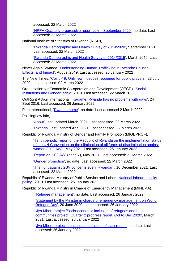accessed: 22 March 2022

['NPPA Quarterly progressive report July –](https://nppa.gov.rw/fileadmin/templates/templates_new/documents/1._IBIKORWA_BY_INGENZI_BYAGEZWEHO_N_UBUSHINJACYAHA_BUKURU_MU_GIHEMBWE_CYA_MBERE__Nyakanga_-_Nzeli_2020_.pdf) September 2020', no date. Last accessed: 22 March 2022

National Institute of Statistics of Rwanda (NISR),

['Rwanda Demographic and Health Survey of 2019/2020',](https://dhsprogram.com/publications/publication-fr370-dhs-final-reports.cfm?cssearch=448117_1) September 2021. Last accessed: 22 March 2022

['Rwanda Demographic and Health Survey of 2014/2015'](https://dhsprogram.com/publications/publication-fr316-dhs-final-reports.cfm), March 2016. Last accessed: 22 March 2022

Never Again Rwanda, ['Understanding Human Trafficking in Rwanda: Causes,](https://neveragainrwanda.org/wp-content/uploads/2017/08/NAR.IOM_.GOV_Understanding-Human-Trafficking-in-Rwanda-Causes-Effects-and-Impact-Baseline-Report.pdf)  [Effects, and Impact'](https://neveragainrwanda.org/wp-content/uploads/2017/08/NAR.IOM_.GOV_Understanding-Human-Trafficking-in-Rwanda-Causes-Effects-and-Impact-Baseline-Report.pdf), August 2019. Last accessed: 26 January 2022

The New Times, ['Covid-19: Only few mosques reopened for public prayers',](https://www.newtimes.co.rw/news/covid-19-only-few-mosques-reopened-public-prayers) 23 July 2020. Last accessed: 02 March 2022

Organisation for Economic Co-operation and Development (OECD), ['Social](https://www.genderindex.org/country-profiles/)  [Institutions and Gender Index',](https://www.genderindex.org/country-profiles/) 2019. Last accessed: 22 March 2022

OutRight Action International, ['Kagame: Rwanda has no problems with gays'](https://outrightinternational.org/content/kagame-rwanda-has-no-problems-gays), 24 Sept 2016. Last accessed: 26 January 2022

Plan International, ['Rwanda home'](https://plan-international.org/rwanda), no date. Last accessed 2 March 2022

PolicingLaw.info,

['About'](https://www.policinglaw.info/about), last updated March 2021. Last accessed: 22 March 2022

['Rwanda'](https://www.policinglaw.info/country/rwanda), last updated April 2021. Last accessed: 22 March 2022

Republic of Rwanda Ministry of Gender and Family Promotion (MIGEPROF),

['Tenth periodic report of the Republic of Rwanda on the implementation status](https://www.migeprof.gov.rw/fileadmin/user_upload/Migeprof/Publications/Reports/Rwanda_s_10th_Periodic_Report_on_the_implementation_of_CEDAW-2021.pdf)  [of the UN Convention on the elimination of all forms of discrimination against](https://www.migeprof.gov.rw/fileadmin/user_upload/Migeprof/Publications/Reports/Rwanda_s_10th_Periodic_Report_on_the_implementation_of_CEDAW-2021.pdf)  [women \(CEDAW\)'](https://www.migeprof.gov.rw/fileadmin/user_upload/Migeprof/Publications/Reports/Rwanda_s_10th_Periodic_Report_on_the_implementation_of_CEDAW-2021.pdf), May 2021. Last accessed: 26 January 2022

['Report on CEDAW'](https://www.migeprof.gov.rw/fileadmin/user_upload/Migeprof/Publications/Reports/Rwanda_s_10th_Periodic_Report_on_the_implementation_of_CEDAW-2021.pdf) (page 7), May 2021. Last accessed: 22 March 2022

['Gender promotion',](https://www.migeprof.gov.rw/gender-promotion) no date. Last accessed: 22 March 2022

['The fight against GBV concerns every Rwandan',](https://www.migeprof.gov.rw/news) 10 December 2021. Last accessed: 22 March 2022

Republic of Rwanda Ministry of Public Service and Labor, 'National labour mobility [policy'](https://www.mifotra.gov.rw/fileadmin/user_upload/Mifotra/Publication/_POLICIES/FINAL_LABOUR_MOBILITY_POLICY.pdf), 2019. Last accessed: 26 January 2022

Republic of Rwanda Ministry in Charge of Emergency Management (MINEMA),

['Refugee management'](https://www.minema.gov.rw/refugees-management), no date. Last accessed: 26 January 2022

['Statement by the Minister in charge of emergency management on World](https://www.minema.gov.rw/news-detail/statement-by-the-minister-in-charge-of-emergency-management-on-world-refugee-day-20-june-2020)  [Refugee Day'](https://www.minema.gov.rw/news-detail/statement-by-the-minister-in-charge-of-emergency-management-on-world-refugee-day-20-june-2020), 20 June 2020. Last accessed: 26 January 2022

['Jya Mbere project/Socio-economic inclusion of refugees and host](https://www.minema.gov.rw/fileadmin/user_upload/Minema/Publications/Reports/Jya_Mbere_project_Quarter_two_2020-2021_Report.pdf)  [communities project, Quarter 2 progress report, Oct to Dec 2020'](https://www.minema.gov.rw/fileadmin/user_upload/Minema/Publications/Reports/Jya_Mbere_project_Quarter_two_2020-2021_Report.pdf), March 2021. Last accessed: 26 January 2022

['Jya Mbere project launches construction of classrooms'](https://www.minema.gov.rw/news-detail/jya-mbere-project-launches-construction-of-classrooms), no date. Last accessed: 26 January 2022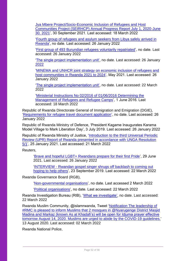[Jya Mbere Project/Socio-Economic Inclusion of Refugees and Host](https://www.minema.gov.rw/fileadmin/user_upload/Minema/Publications/Reports/2020-2021_Jya_Mbere_Project_Annual_Progress_Report.pdf)  [Communities Project \(SEIRHCP\) Annual Progress Report July 1, 2020-June](https://www.minema.gov.rw/fileadmin/user_upload/Minema/Publications/Reports/2020-2021_Jya_Mbere_Project_Annual_Progress_Report.pdf)  [30, 2021'](https://www.minema.gov.rw/fileadmin/user_upload/Minema/Publications/Reports/2020-2021_Jya_Mbere_Project_Annual_Progress_Report.pdf), 30 September 2021. Last accessed: 18 March 2022

['Fourth group of refugees and asylum seekers from Libya safely](https://www.minema.gov.rw/news-detail/fourth-group-of-refugees-and-asylum-seekers-from-libya-safely-arrived-in-rwanda-1) arrived in [Rwanda'](https://www.minema.gov.rw/news-detail/fourth-group-of-refugees-and-asylum-seekers-from-libya-safely-arrived-in-rwanda-1), no date. Last accessed: 26 January 2022

['First group of 493 Burundian refugees voluntarily repatriated'](https://www.minema.gov.rw/news-detail/first-group-of-493-burundian-refugees-voluntarily-repatriated), no date. Last accessed: 26 January 2022

['The single project implementation unit',](https://www.minema.gov.rw/business-development) no date. Last accessed: 26 January 2022

['MINEMA and UNHCR joint strategy on economic inclusion of refugees and](https://www.minema.gov.rw/fileadmin/user_upload/Minema/Publications/Ministry_Projects_Documents/JOINT_STRATEGY_ON_ECONOMIC_INCLUSION_OF_REFUGEES_AND_HOST_COMMUNITIES_2021-2024.pdf)  [host communities in Rwanda 2021 to 2024'](https://www.minema.gov.rw/fileadmin/user_upload/Minema/Publications/Ministry_Projects_Documents/JOINT_STRATEGY_ON_ECONOMIC_INCLUSION_OF_REFUGEES_AND_HOST_COMMUNITIES_2021-2024.pdf), May 2021. Last accessed: 26 January 2022

['The single project implementation unit',](https://www.minema.gov.rw/business-development) no date. Last accessed: 22 March 2022

['Ministerial Instructions No 02/2016 of 01/06/2016 Determining the](https://www.minema.gov.rw/fileadmin/user_upload/Minema/Publications/Laws_and_Policies/Ministerial_instructions_relating_to_the_management_of_refugees_and_refugee_camps.pdf)  [Management of Refugees and Refugee Camps'](https://www.minema.gov.rw/fileadmin/user_upload/Minema/Publications/Laws_and_Policies/Ministerial_instructions_relating_to_the_management_of_refugees_and_refugee_camps.pdf), 1 June 2016. Last accessed: 18 March 2022

Republic of Rwanda Directorate General of Immigration and Emigration (DGIE), ['Requirements for refugee travel document application'](https://www.migration.gov.rw/our-services/refugee/), no date. Last accessed: 26 January 2022

Republic of Rwanda Ministry of Defence, 'President Kagame Inaugurates Karama Model Village to Mark Liberation Day', 3 July 2019. Last accessed: 26 January 2022

Republic of Rwanda Ministry of Justice, ['Introduction to the third Universal Periodic](https://www.minijust.gov.rw/fileadmin/user_upload/Minijust/Speechs/25.01.2021_Statement_of_GoR_at_the_3rd_UPR_report.pdf)  [Review \(UPR\) Report of Rwanda presented in accordance with UNGA Resolution](https://www.minijust.gov.rw/fileadmin/user_upload/Minijust/Speechs/25.01.2021_Statement_of_GoR_at_the_3rd_UPR_report.pdf)  [5/1'](https://www.minijust.gov.rw/fileadmin/user_upload/Minijust/Speechs/25.01.2021_Statement_of_GoR_at_the_3rd_UPR_report.pdf), 25 January 2021. Last accessed: 21 March 2022

Reuters,

['Brave and hopeful LGBT+ Rwandans prepare for their first Pride'](https://www.reuters.com/article/us-rwanda-lgbt-rights-trfn-idUSKCN2E526F), 29 June 2021. Last accessed: 26 January 2022

'INTERVIEW - [Rwandan gospel singer shrugs off backlash to coming out](https://www.reuters.com/article/rwanda-lgbt-music-idUSL3N26E1K3?msclkid=1993ce51a9d311ec8f3842a7af63f61a)  [hoping to help others'](https://www.reuters.com/article/rwanda-lgbt-music-idUSL3N26E1K3?msclkid=1993ce51a9d311ec8f3842a7af63f61a), 23 September 2019. Last accessed: 22 March 2022

Rwanda Governance Board (RGB),

['Non-governmental organisations'](https://www.rgb.rw/1/civil-society-faith-based-and-political-organisations/non-governmental-organisations), no date. Last accessed 2 March 2022

['Political organisations'](https://www.rgb.rw/1/civil-society-faith-based-and-political-organisations/political-organisastions), no date. Last accessed: 22 March 2022

Rwanda Investigation Bureau (RIB), ['What we investigate',](https://www.rib.gov.rw/index.php?id=293) no date. Last accessed: 22 March 2022

Rwanda Muslim Community, @islamrwanda, Tweet ['Notification The leadership of](https://twitter.com/islamrwanda/status/1293979194486067201)  [#RMC is pleased to inform Muslims that 2 mosques in @Nyarugenge District Masjid](https://twitter.com/islamrwanda/status/1293979194486067201)  [Madina and Markaz \(known As at Khadafi's\) will be open for Idjuma prayer effective](https://twitter.com/islamrwanda/status/1293979194486067201)  [tomorrow August 14, 2020. Muslims are urged to abide by the COVID-19 guidelines.'](https://twitter.com/islamrwanda/status/1293979194486067201) 13 August 2020. Last accessed: 02 March 2022

Rwanda National Police,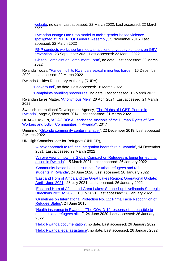[website,](https://www.police.gov.rw/home/) no date. Last accessed: 22 March 2022. Last accessed: 22 March 2022

['Rwandan Isange One Stop model to tackle gender based violence](https://police.gov.rw/media-archives/news-detail/?tx_news_pi1%5Bnews%5D=7160&tx_news_pi1%5Bcontroller%5D=News&tx_news_pi1%5Baction%5D=detail&cHash=084e6ef4e87a946023cd9f96074cd2db)  [spotlighted at INTERPOL General Assembly', 5](https://police.gov.rw/media-archives/news-detail/?tx_news_pi1%5Bnews%5D=7160&tx_news_pi1%5Bcontroller%5D=News&tx_news_pi1%5Baction%5D=detail&cHash=084e6ef4e87a946023cd9f96074cd2db) November 2015. Last accessed: 22 March 2022

['RNP conducts workshop for media practitioners, youth volunteers on GBV](https://www.police.gov.rw/media-archives/news-detail/news/rnp-conducts-workshop-for-media-practitioners-youth-volunteers-on-gbv-prevention/)  [prevention',](https://www.police.gov.rw/media-archives/news-detail/news/rnp-conducts-workshop-for-media-practitioners-youth-volunteers-on-gbv-prevention/) 28 September 2021. Last accessed: 22 March 2022

['Citizen Complaint or Compliment Form'](https://police.gov.rw/e-policing/citizen-complaint/), no date. Last accessed: 22 March 2022

Rwanda Today, [''Pandemic hits Rwanda's sexual minorities harder',](https://rwandatoday.africa/rwanda/news/pandemic-hits-rwanda-s-sexual-minorities-harder--3231252?msclkid=87884dbea9cd11ec874e3777533c6fce) 16 December 2020. Last accessed: 22 March 2022

Rwanda Utilities Regulatory Authority (RURA),

['Background'](https://www.rura.rw/index.php?id=44), no date. Last accessed: 16 March 2022

['Complaints handling procedures'](https://www.rura.rw/index.php?id=126), no date. Last accessed: 16 March 2022

Rwandan Lives Matter, ['Anonymous Men'](https://www.rwandanlivesmatter.site/victim/566), 28 April 2021. Last accessed: 21 March 2022

Swedish International Development Agency, ['The Rights of LGBTI People in](https://www.bing.com/newtabredir?url=https%3A%2F%2Fsidase-wp-files-prod.s3.eu-north-1.amazonaws.com%2Fapp%2Fuploads%2F2021%2F05%2F07084831%2Frights-of-lgbt-persons-rwanda.pdf)  [Rwanda'](https://www.bing.com/newtabredir?url=https%3A%2F%2Fsidase-wp-files-prod.s3.eu-north-1.amazonaws.com%2Fapp%2Fuploads%2F2021%2F05%2F07084831%2Frights-of-lgbt-persons-rwanda.pdf), page 2, December 2014. Last accessed: 21 March 2022

UHAI – EASHRI, ['AGACIRO: A Landscape Analysis of the Human Rights of Sex](https://globalphilanthropyproject.org/2017/09/11/uhai-landscape-analyses/)  [Workers and LGBT Communities in Rwanda''](https://globalphilanthropyproject.org/2017/09/11/uhai-landscape-analyses/), 2017

Umurimo, ['Gikondo community center manager'](https://umurimo.com/jobs/article/gikondo-community-center-manager-1-pfr), 22 December 2019. Last accessed 2 March 2022

UN High Commissioner for Refugees (UNHCR),

['A new approach to refugee integration bears fruit in Rwanda'](https://www.unhcr.org/uk/news/stories/2021/12/61b853c64/new-approach-refugee-integration-bears-fruit-rwanda.html), 14 December 2021. Last accessed 22 March 2022

['An overview of how the Global Compact on Refugees is being turned into](https://globalcompactrefugees.org/article/rwanda)  [action in Rwanda'](https://globalcompactrefugees.org/article/rwanda), 15 March 2021. Last accessed: 26 January 2022

['Community-based health insurance for urban refugees and refugee](https://globalcompactrefugees.org/article/community-based-health-insurance-urban-refugees-and-refugee-students-rwanda)  [students in Rwanda'](https://globalcompactrefugees.org/article/community-based-health-insurance-urban-refugees-and-refugee-students-rwanda), 24 June 2020. Last accessed: 26 January 2022

['East and Horn of Africa and the Great Lakes Region: Operational Update:](https://data2.unhcr.org/en/documents/details/87965)  April - [June 2021'](https://data2.unhcr.org/en/documents/details/87965), 28 July 2021. Last accessed: 26 January 2022

['East and Horn of Africa and Great Lakes: Stepped-up](https://data2.unhcr.org/en/documents/details/87949) Livelihoods Strategic [Directions 2021 to 2025'](https://data2.unhcr.org/en/documents/details/87949), 1 July 2021. Last accessed: 26 January 2022

['Guidelines on International Protection No. 11: Prima Facie Recognition of](https://www.unhcr.org/558a62299.html)  [Refugee Status'](https://www.unhcr.org/558a62299.html), 24 June 2015

['Health insurance in Rwanda: "The COVID-19 response is accessible to](https://globalcompactrefugees.org/article/health-insurance-rwanda-covid-19-response-accessible-nationals-and-refugees-alike)  [nationals and refugees alike"](https://globalcompactrefugees.org/article/health-insurance-rwanda-covid-19-response-accessible-nationals-and-refugees-alike)', 24 June 2020. Last accessed: 26 January 2022

['Help: Rwanda documentation'](https://help.unhcr.org/rwanda/services/documentation/), no date. Last accessed: 26 January 2022 ['Help: Rwanda legal assistance'](https://help.unhcr.org/rwanda/services/legal-assistance/), no date. Last accessed: 26 January 2022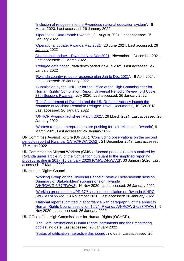['Inclusion of refugees into the Rwandese national education system'](https://globalcompactrefugees.org/article/inclusion-refugees-rwandese-national-education-system), 18 March 2020. Last accessed: 26 January 2022

['Operational Data Portal: Rwanda'](https://data2.unhcr.org/en/country/rwa), 31 August 2021. Last accessed: 26 January 2022

['Operational update: Rwanda May 2021'](https://data2.unhcr.org/en/documents/details/87473), 26 June 2021. Last accessed: 26 January 2022

Operational update – [Rwanda Nov-Dec 2021'](https://reporting.unhcr.org/rwanda), November – December 2021. Last accessed: 22 March 2022

['Refugee data finder](https://www.unhcr.org/refugee-statistics/download/?url=E1ZxP4)', data downloaded 23 Aug 2021. Last accessed: 26 January 2022

['Rwanda country refugee response plan Jan to Dec 2021'](https://reporting.unhcr.org/sites/default/files/2021%20Rwanda%20Country%20Refugee%20Response%20Plan.pdf), 19 April 2021. Last accessed: 26 January 2022

['Submission by the UNHCR for the Office of the High Commissioner for](https://www.refworld.org/type,COUNTRYREP,UNHCR,RWA,607763c64,0.html)  [Human Rights' Compilation Report, Universal Periodic Review: 3rd Cycle,](https://www.refworld.org/type,COUNTRYREP,UNHCR,RWA,607763c64,0.html)  [37th Session, Rwanda'](https://www.refworld.org/type,COUNTRYREP,UNHCR,RWA,607763c64,0.html), July 2020. Last accessed: 26 January 2022

['The Government of Rwanda and the UN Refugee Agency launch the](https://www.unhcr.org/rw/13674-the-government-of-rwanda-and-the-un-refugee-agency-launch-the-issuance-of-machine-readable-refugee-travel-documents.html)  [issuance of Machine Readable Refugee Travel Documents'](https://www.unhcr.org/rw/13674-the-government-of-rwanda-and-the-un-refugee-agency-launch-the-issuance-of-machine-readable-refugee-travel-documents.html), 10 Oct 2018. Last accessed: 26 January 2022

['UNHCR Rwanda fact sheet March 2021'](https://data2.unhcr.org/en/documents/details/85742), 26 March 2021. Last accessed: 26 January 2022

['Women refugee entrepreneurs are pushing for self-reliance in Rwanda'](https://globalcompactrefugees.org/article/women-refugee-entrepreneurs-are-pushing-self-reliance-rwanda), 8 March 2021. Last accessed: 26 January 2022

UN Committee Against Torture (UNCAT), ['Concluding observations on the second](https://www.ecoi.net/en/document/1420887.html)  [periodic report of Rwanda \[CAT/C/RWA/CO/2\]'](https://www.ecoi.net/en/document/1420887.html), 21 December 2017. Last accessed: 17 March 2022

UN Committee on Migrant Workers (CMW), ['Second periodic report submitted by](https://www.ecoi.net/en/document/2024479.html)  [Rwanda under article 73 of the Convention pursuant to the simplified reporting](https://www.ecoi.net/en/document/2024479.html)  [procedure, due in 2017 \[16 January 2020\] \[CMW/C/RWA/2\]'](https://www.ecoi.net/en/document/2024479.html), 30 January 2020. Last accessed: 17 March 2022

UN Human Rights Council,

['Working Group on the Universal Periodic Review Thirty-seventh session,](https://www.ohchr.org/EN/HRBodies/UPR/Pages/RWindex.aspx)  [Summary of Stakeholders' submissions on Rwanda](https://www.ohchr.org/EN/HRBodies/UPR/Pages/RWindex.aspx) 

[A/HRC/WG.6/37/RWA/3'](https://www.ohchr.org/EN/HRBodies/UPR/Pages/RWindex.aspx), 16 Nov 2020. Last accessed: 26 January 2022

'Working group on the UPR 37<sup>th</sup> [session, compilation on Rwanda A/HRC](https://documents-dds-ny.un.org/doc/UNDOC/GEN/G20/306/60/PDF/G2030660.pdf?OpenElement) [/WG.6/37/RWA/2'](https://documents-dds-ny.un.org/doc/UNDOC/GEN/G20/306/60/PDF/G2030660.pdf?OpenElement), 13 November 2020. Last accessed: 26 January 2022

['National report submitted in accordance with paragraph 5 of the annex to](https://digitallibrary.un.org/record/3894142?ln=en)  [Human Rights Council resolution 16/21: Rwanda A/HRC/WG.6/37/RWA/1',](https://digitallibrary.un.org/record/3894142?ln=en) 9 Nov 2020. Last accessed: 26 January 2022

UN Office of the High Commissioner for Human Rights (OCHCR),

['The Core International Human Rights Instruments and their monitoring](https://www.ohchr.org/EN/ProfessionalInterest/Pages/CoreInstruments.aspx)  [bodies'](https://www.ohchr.org/EN/ProfessionalInterest/Pages/CoreInstruments.aspx), no date. Last accessed: 26 January 2022

['Status of ratification interactive dashboard'](https://indicators.ohchr.org/), no date. Last accessed: 26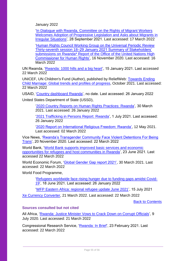January 2022

['In Dialogue with Rwanda, Committee on the Rights of Migrant Workers](https://www.ohchr.org/en/press-releases/2021/09/dialogue-rwanda-committee-rights-migrant-workers-welcomes-adoption?LangID=E&NewsID=27557)  [Welcomes Adoption of Progressive Legislation and Asks about Migrants in](https://www.ohchr.org/en/press-releases/2021/09/dialogue-rwanda-committee-rights-migrant-workers-welcomes-adoption?LangID=E&NewsID=27557)  [Irregular Situations'](https://www.ohchr.org/en/press-releases/2021/09/dialogue-rwanda-committee-rights-migrant-workers-welcomes-adoption?LangID=E&NewsID=27557), 28 September 2021. Last accessed: 17 March 2022

['Human Rights Council Working Group on the Universal Periodic Review](https://www.ohchr.org/en/hr-bodies/upr/rw-index)  [Thirty-seventh session 18–29 January 2021 Summary of Stakeholders'](https://www.ohchr.org/en/hr-bodies/upr/rw-index)  submissions on Rwanda\* Report of the Office of the United Nations High [Commissioner for Human Rights',](https://www.ohchr.org/en/hr-bodies/upr/rw-index) 16 November 2020. Last accessed: 16 March 2022

UN Rwanda, ['Rwanda: 1000 hills and a big heart'](https://rwanda.un.org/en/110419-rwanda-1000-hills-and-big-heart), 15 January 2021. Last accessed 22 March 2022

UNICEF, UN Children's Fund (Author), published by ReliefWeb: [Towards Ending](https://data.unicef.org/resources/towards-ending-child-marriage/)  [Child Marriage: Global trends and profiles of progress,](https://data.unicef.org/resources/towards-ending-child-marriage/) October 2021. Last accessed: 22 March 2022

USAID, ['Country dashboard Rwanda'](https://idea.usaid.gov/cd/rwanda/democracy-human-rights-and-governance), no date. Last accessed: 26 January 2022 United States Department of State (USSD),

['2020 Country Reports on Human Rights Practices: Rwanda'](https://www.state.gov/reports/2020-country-reports-on-human-rights-practices/rwanda/), 30 March 2021. Last accessed: 26 January 2022

['2021 Trafficking in Persons Report: Rwanda'](https://www.state.gov/reports/2021-trafficking-in-persons-report/rwanda/), 1 July 2021. Last accessed: 26 January 2022

['2020 Report on International Religious Freedom: Rwanda',](https://www.state.gov/reports/2020-report-on-international-religious-freedom/rwanda/) 12 May 2021. Last accessed: 02 March 2022

Vice News, ['Rwanda's Transgender Community Face Violent Detentions For Being](https://www.vice.com/en/article/4adxv9/rwandas-transgender-community-face-violent-detentions-for-being-trans?msclkid=61c2b684a9df11ecb7dc68e1b392971c)  [Trans'](https://www.vice.com/en/article/4adxv9/rwandas-transgender-community-face-violent-detentions-for-being-trans?msclkid=61c2b684a9df11ecb7dc68e1b392971c), 20 November 2020. Last accessed: 22 March 2022

World Bank, ['World Bank supports improved basic services and economic](https://www.worldbank.org/en/news/press-release/2021/06/23/world-bank-supports-improved-basic-services-and-economic-opportunities-for-refugees-and-host-communities-in-rwanda)  [opportunities for refugees and host communities in Rwanda'](https://www.worldbank.org/en/news/press-release/2021/06/23/world-bank-supports-improved-basic-services-and-economic-opportunities-for-refugees-and-host-communities-in-rwanda), 23 June 2021. Last accessed 22 March 2022

World Economic Forum, ['Global Gender Gap report 2021',](https://www.weforum.org/reports/global-gender-gap-report-2021) 30 March 2021. Last accessed: 22 March 2022

World Food Programme,

['Refugees worldwide face rising hunger due to funding gaps amidst Covid-](https://www.wfp.org/news/refugees-worldwide-face-rising-hunger-due-funding-gaps-amidst-covid-19)[19'](https://www.wfp.org/news/refugees-worldwide-face-rising-hunger-due-funding-gaps-amidst-covid-19), 18 June 2021. Last accessed: 26 January 2022

['WFP Eastern Africa: regional refugee update June 2021'](https://reliefweb.int/sites/reliefweb.int/files/resources/RBN%20Refugee%20Update%20June%202021.pdf), 15 July 2021

[Xe Currency Converter,](https://www.xe.com/currencyconverter/convert/?Amount=300000&From=RWF&To=GBP) 21 March 2022. Last accessed: 22 March 2022

[Back to Contents](#page-3-0)

## <span id="page-54-0"></span>**Sources consulted but not cited**

All Africa, ['Rwanda: Justice Minister Vows to Crack Down on Corrupt Officials'](https://allafrica.com/stories/202007090015.html), 9 July 2020. Last accessed: 21 March 2022

Congressional Research Service, ['Rwanda: In Brief'](https://sgp.fas.org/crs/row/R44402.pdf), 23 February 2021. Last accessed: 22 March 2022